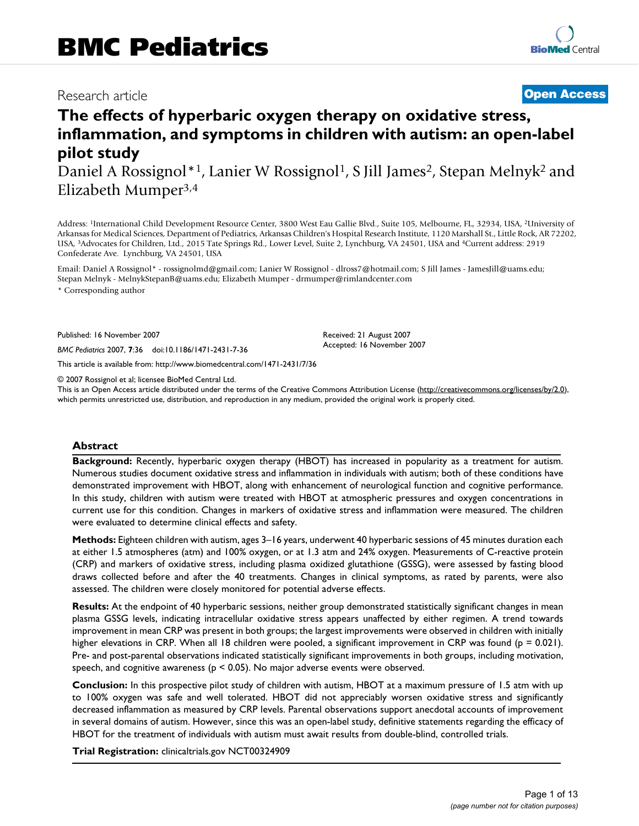# Research article **[Open Access](http://www.biomedcentral.com/info/about/charter/)**

# **The effects of hyperbaric oxygen therapy on oxidative stress, inflammation, and symptoms in children with autism: an open-label pilot study**

Daniel A Rossignol<sup>\*1</sup>, Lanier W Rossignol<sup>1</sup>, S Jill James<sup>2</sup>, Stepan Melnyk<sup>2</sup> and Elizabeth Mumper3,4

Address: 1International Child Development Resource Center, 3800 West Eau Gallie Blvd., Suite 105, Melbourne, FL, 32934, USA, 2University of Arkansas for Medical Sciences, Department of Pediatrics, Arkansas Children's Hospital Research Institute, 1120 Marshall St., Little Rock, AR 72202, USA, 3Advocates for Children, Ltd., 2015 Tate Springs Rd., Lower Level, Suite 2, Lynchburg, VA 24501, USA and 4Current address: 2919 Confederate Ave. Lynchburg, VA 24501, USA

Email: Daniel A Rossignol\* - rossignolmd@gmail.com; Lanier W Rossignol - dlross7@hotmail.com; S Jill James - JamesJill@uams.edu; Stepan Melnyk - MelnykStepanB@uams.edu; Elizabeth Mumper - drmumper@rimlandcenter.com \* Corresponding author

Published: 16 November 2007

*BMC Pediatrics* 2007, **7**:36 doi:10.1186/1471-2431-7-36

[This article is available from: http://www.biomedcentral.com/1471-2431/7/36](http://www.biomedcentral.com/1471-2431/7/36)

© 2007 Rossignol et al; licensee BioMed Central Ltd.

This is an Open Access article distributed under the terms of the Creative Commons Attribution License [\(http://creativecommons.org/licenses/by/2.0\)](http://creativecommons.org/licenses/by/2.0), which permits unrestricted use, distribution, and reproduction in any medium, provided the original work is properly cited.

Received: 21 August 2007 Accepted: 16 November 2007

### **Abstract**

**Background:** Recently, hyperbaric oxygen therapy (HBOT) has increased in popularity as a treatment for autism. Numerous studies document oxidative stress and inflammation in individuals with autism; both of these conditions have demonstrated improvement with HBOT, along with enhancement of neurological function and cognitive performance. In this study, children with autism were treated with HBOT at atmospheric pressures and oxygen concentrations in current use for this condition. Changes in markers of oxidative stress and inflammation were measured. The children were evaluated to determine clinical effects and safety.

**Methods:** Eighteen children with autism, ages 3–16 years, underwent 40 hyperbaric sessions of 45 minutes duration each at either 1.5 atmospheres (atm) and 100% oxygen, or at 1.3 atm and 24% oxygen. Measurements of C-reactive protein (CRP) and markers of oxidative stress, including plasma oxidized glutathione (GSSG), were assessed by fasting blood draws collected before and after the 40 treatments. Changes in clinical symptoms, as rated by parents, were also assessed. The children were closely monitored for potential adverse effects.

**Results:** At the endpoint of 40 hyperbaric sessions, neither group demonstrated statistically significant changes in mean plasma GSSG levels, indicating intracellular oxidative stress appears unaffected by either regimen. A trend towards improvement in mean CRP was present in both groups; the largest improvements were observed in children with initially higher elevations in CRP. When all 18 children were pooled, a significant improvement in CRP was found (p = 0.021). Pre- and post-parental observations indicated statistically significant improvements in both groups, including motivation, speech, and cognitive awareness ( $p < 0.05$ ). No major adverse events were observed.

**Conclusion:** In this prospective pilot study of children with autism, HBOT at a maximum pressure of 1.5 atm with up to 100% oxygen was safe and well tolerated. HBOT did not appreciably worsen oxidative stress and significantly decreased inflammation as measured by CRP levels. Parental observations support anecdotal accounts of improvement in several domains of autism. However, since this was an open-label study, definitive statements regarding the efficacy of HBOT for the treatment of individuals with autism must await results from double-blind, controlled trials.

**Trial Registration:** clinicaltrials.gov NCT00324909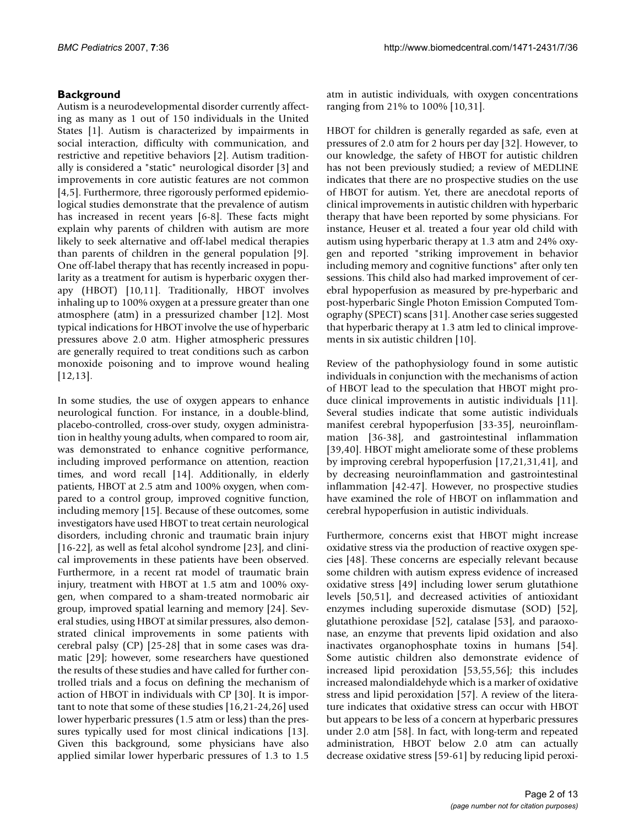# **Background**

Autism is a neurodevelopmental disorder currently affecting as many as 1 out of 150 individuals in the United States [1]. Autism is characterized by impairments in social interaction, difficulty with communication, and restrictive and repetitive behaviors [2]. Autism traditionally is considered a "static" neurological disorder [3] and improvements in core autistic features are not common [4,5]. Furthermore, three rigorously performed epidemiological studies demonstrate that the prevalence of autism has increased in recent years [6-8]. These facts might explain why parents of children with autism are more likely to seek alternative and off-label medical therapies than parents of children in the general population [9]. One off-label therapy that has recently increased in popularity as a treatment for autism is hyperbaric oxygen therapy (HBOT) [10,11]. Traditionally, HBOT involves inhaling up to 100% oxygen at a pressure greater than one atmosphere (atm) in a pressurized chamber [12]. Most typical indications for HBOT involve the use of hyperbaric pressures above 2.0 atm. Higher atmospheric pressures are generally required to treat conditions such as carbon monoxide poisoning and to improve wound healing [12,13].

In some studies, the use of oxygen appears to enhance neurological function. For instance, in a double-blind, placebo-controlled, cross-over study, oxygen administration in healthy young adults, when compared to room air, was demonstrated to enhance cognitive performance, including improved performance on attention, reaction times, and word recall [14]. Additionally, in elderly patients, HBOT at 2.5 atm and 100% oxygen, when compared to a control group, improved cognitive function, including memory [15]. Because of these outcomes, some investigators have used HBOT to treat certain neurological disorders, including chronic and traumatic brain injury [16-22], as well as fetal alcohol syndrome [23], and clinical improvements in these patients have been observed. Furthermore, in a recent rat model of traumatic brain injury, treatment with HBOT at 1.5 atm and 100% oxygen, when compared to a sham-treated normobaric air group, improved spatial learning and memory [24]. Several studies, using HBOT at similar pressures, also demonstrated clinical improvements in some patients with cerebral palsy (CP) [25-28] that in some cases was dramatic [29]; however, some researchers have questioned the results of these studies and have called for further controlled trials and a focus on defining the mechanism of action of HBOT in individuals with CP [30]. It is important to note that some of these studies [16,21-24,26] used lower hyperbaric pressures (1.5 atm or less) than the pressures typically used for most clinical indications [13]. Given this background, some physicians have also applied similar lower hyperbaric pressures of 1.3 to 1.5

atm in autistic individuals, with oxygen concentrations ranging from 21% to 100% [10,31].

HBOT for children is generally regarded as safe, even at pressures of 2.0 atm for 2 hours per day [32]. However, to our knowledge, the safety of HBOT for autistic children has not been previously studied; a review of MEDLINE indicates that there are no prospective studies on the use of HBOT for autism. Yet, there are anecdotal reports of clinical improvements in autistic children with hyperbaric therapy that have been reported by some physicians. For instance, Heuser et al. treated a four year old child with autism using hyperbaric therapy at 1.3 atm and 24% oxygen and reported "striking improvement in behavior including memory and cognitive functions" after only ten sessions. This child also had marked improvement of cerebral hypoperfusion as measured by pre-hyperbaric and post-hyperbaric Single Photon Emission Computed Tomography (SPECT) scans [31]. Another case series suggested that hyperbaric therapy at 1.3 atm led to clinical improvements in six autistic children [10].

Review of the pathophysiology found in some autistic individuals in conjunction with the mechanisms of action of HBOT lead to the speculation that HBOT might produce clinical improvements in autistic individuals [11]. Several studies indicate that some autistic individuals manifest cerebral hypoperfusion [33-35], neuroinflammation [36-38], and gastrointestinal inflammation [39,40]. HBOT might ameliorate some of these problems by improving cerebral hypoperfusion [17,21,31,41], and by decreasing neuroinflammation and gastrointestinal inflammation [42-47]. However, no prospective studies have examined the role of HBOT on inflammation and cerebral hypoperfusion in autistic individuals.

Furthermore, concerns exist that HBOT might increase oxidative stress via the production of reactive oxygen species [48]. These concerns are especially relevant because some children with autism express evidence of increased oxidative stress [49] including lower serum glutathione levels [50,51], and decreased activities of antioxidant enzymes including superoxide dismutase (SOD) [52], glutathione peroxidase [52], catalase [53], and paraoxonase, an enzyme that prevents lipid oxidation and also inactivates organophosphate toxins in humans [54]. Some autistic children also demonstrate evidence of increased lipid peroxidation [53,55,56]; this includes increased malondialdehyde which is a marker of oxidative stress and lipid peroxidation [57]. A review of the literature indicates that oxidative stress can occur with HBOT but appears to be less of a concern at hyperbaric pressures under 2.0 atm [58]. In fact, with long-term and repeated administration, HBOT below 2.0 atm can actually decrease oxidative stress [59-61] by reducing lipid peroxi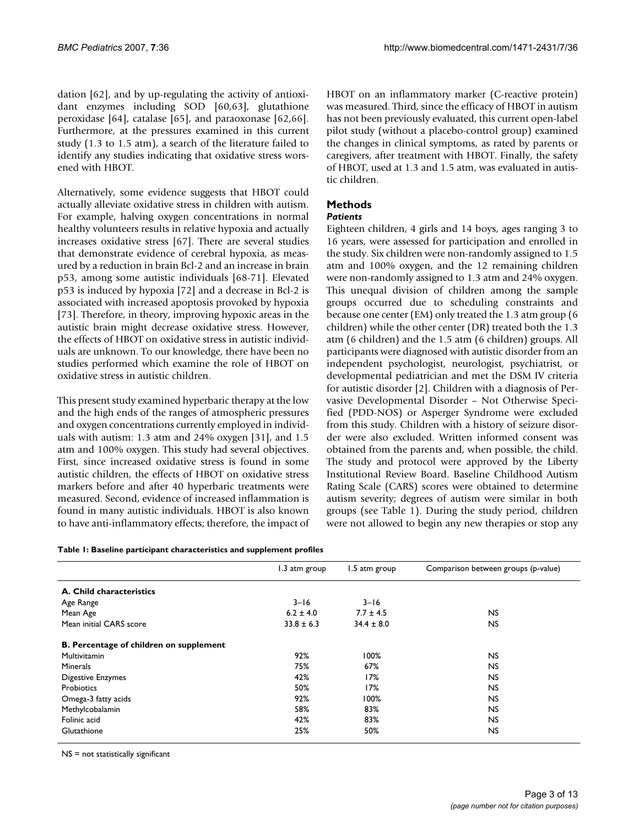dation [62], and by up-regulating the activity of antioxidant enzymes including SOD [60,63], glutathione peroxidase [64], catalase [65], and paraoxonase [62,66]. Furthermore, at the pressures examined in this current study (1.3 to 1.5 atm), a search of the literature failed to identify any studies indicating that oxidative stress worsened with HBOT.

Alternatively, some evidence suggests that HBOT could actually alleviate oxidative stress in children with autism. For example, halving oxygen concentrations in normal healthy volunteers results in relative hypoxia and actually increases oxidative stress [67]. There are several studies that demonstrate evidence of cerebral hypoxia, as measured by a reduction in brain Bcl-2 and an increase in brain p53, among some autistic individuals [68-71]. Elevated p53 is induced by hypoxia [72] and a decrease in Bcl-2 is associated with increased apoptosis provoked by hypoxia [73]. Therefore, in theory, improving hypoxic areas in the autistic brain might decrease oxidative stress. However, the effects of HBOT on oxidative stress in autistic individuals are unknown. To our knowledge, there have been no studies performed which examine the role of HBOT on oxidative stress in autistic children.

This present study examined hyperbaric therapy at the low and the high ends of the ranges of atmospheric pressures and oxygen concentrations currently employed in individuals with autism: 1.3 atm and 24% oxygen [31], and 1.5 atm and 100% oxygen. This study had several objectives. First, since increased oxidative stress is found in some autistic children, the effects of HBOT on oxidative stress markers before and after 40 hyperbaric treatments were measured. Second, evidence of increased inflammation is found in many autistic individuals. HBOT is also known to have anti-inflammatory effects; therefore, the impact of

**Table 1: Baseline participant characteristics and supplement profiles**

HBOT on an inflammatory marker (C-reactive protein) was measured. Third, since the efficacy of HBOT in autism has not been previously evaluated, this current open-label pilot study (without a placebo-control group) examined the changes in clinical symptoms, as rated by parents or caregivers, after treatment with HBOT. Finally, the safety of HBOT, used at 1.3 and 1.5 atm, was evaluated in autistic children.

# **Methods**

#### *Patients*

Eighteen children, 4 girls and 14 boys, ages ranging 3 to 16 years, were assessed for participation and enrolled in the study. Six children were non-randomly assigned to 1.5 atm and 100% oxygen, and the 12 remaining children were non-randomly assigned to 1.3 atm and 24% oxygen. This unequal division of children among the sample groups occurred due to scheduling constraints and because one center (EM) only treated the 1.3 atm group (6 children) while the other center (DR) treated both the 1.3 atm (6 children) and the 1.5 atm (6 children) groups. All participants were diagnosed with autistic disorder from an independent psychologist, neurologist, psychiatrist, or developmental pediatrician and met the DSM IV criteria for autistic disorder [2]. Children with a diagnosis of Pervasive Developmental Disorder – Not Otherwise Specified (PDD-NOS) or Asperger Syndrome were excluded from this study. Children with a history of seizure disorder were also excluded. Written informed consent was obtained from the parents and, when possible, the child. The study and protocol were approved by the Liberty Institutional Review Board. Baseline Childhood Autism Rating Scale (CARS) scores were obtained to determine autism severity; degrees of autism were similar in both groups (see Table 1). During the study period, children were not allowed to begin any new therapies or stop any

|                                                | 1.3 atm group  | 1.5 atm group  | Comparison between groups (p-value) |
|------------------------------------------------|----------------|----------------|-------------------------------------|
| A. Child characteristics                       |                |                |                                     |
| Age Range                                      | $3 - 16$       | $3 - 16$       |                                     |
| Mean Age                                       | $6.2 \pm 4.0$  | $7.7 \pm 4.5$  | NS.                                 |
| Mean initial CARS score                        | $33.8 \pm 6.3$ | $34.4 \pm 8.0$ | <b>NS</b>                           |
| <b>B. Percentage of children on supplement</b> |                |                |                                     |
| Multivitamin                                   | 92%            | 100%           | <b>NS</b>                           |
| Minerals                                       | 75%            | 67%            | <b>NS</b>                           |
| Digestive Enzymes                              | 42%            | 17%            | <b>NS</b>                           |
| <b>Probiotics</b>                              | 50%            | 17%            | <b>NS</b>                           |
| Omega-3 fatty acids                            | 92%            | 100%           | <b>NS</b>                           |
| Methylcobalamin                                | 58%            | 83%            | <b>NS</b>                           |
| Folinic acid                                   | 42%            | 83%            | <b>NS</b>                           |
| Glutathione                                    | 25%            | 50%            | <b>NS</b>                           |

NS = not statistically significant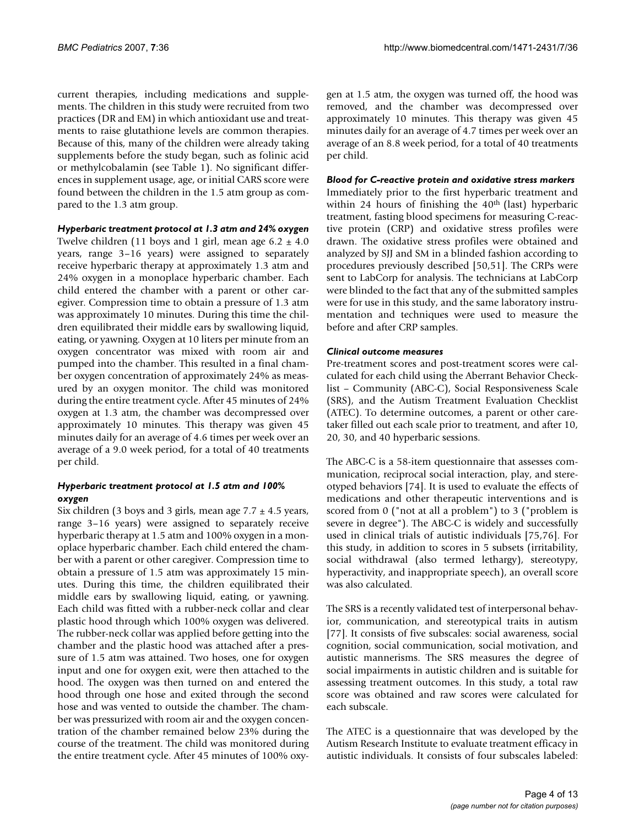current therapies, including medications and supplements. The children in this study were recruited from two practices (DR and EM) in which antioxidant use and treatments to raise glutathione levels are common therapies. Because of this, many of the children were already taking supplements before the study began, such as folinic acid or methylcobalamin (see Table 1). No significant differences in supplement usage, age, or initial CARS score were found between the children in the 1.5 atm group as compared to the 1.3 atm group.

#### *Hyperbaric treatment protocol at 1.3 atm and 24% oxygen*

Twelve children (11 boys and 1 girl, mean age  $6.2 \pm 4.0$ years, range 3–16 years) were assigned to separately receive hyperbaric therapy at approximately 1.3 atm and 24% oxygen in a monoplace hyperbaric chamber. Each child entered the chamber with a parent or other caregiver. Compression time to obtain a pressure of 1.3 atm was approximately 10 minutes. During this time the children equilibrated their middle ears by swallowing liquid, eating, or yawning. Oxygen at 10 liters per minute from an oxygen concentrator was mixed with room air and pumped into the chamber. This resulted in a final chamber oxygen concentration of approximately 24% as measured by an oxygen monitor. The child was monitored during the entire treatment cycle. After 45 minutes of 24% oxygen at 1.3 atm, the chamber was decompressed over approximately 10 minutes. This therapy was given 45 minutes daily for an average of 4.6 times per week over an average of a 9.0 week period, for a total of 40 treatments per child.

# *Hyperbaric treatment protocol at 1.5 atm and 100% oxygen*

Six children (3 boys and 3 girls, mean age  $7.7 \pm 4.5$  years, range 3–16 years) were assigned to separately receive hyperbaric therapy at 1.5 atm and 100% oxygen in a monoplace hyperbaric chamber. Each child entered the chamber with a parent or other caregiver. Compression time to obtain a pressure of 1.5 atm was approximately 15 minutes. During this time, the children equilibrated their middle ears by swallowing liquid, eating, or yawning. Each child was fitted with a rubber-neck collar and clear plastic hood through which 100% oxygen was delivered. The rubber-neck collar was applied before getting into the chamber and the plastic hood was attached after a pressure of 1.5 atm was attained. Two hoses, one for oxygen input and one for oxygen exit, were then attached to the hood. The oxygen was then turned on and entered the hood through one hose and exited through the second hose and was vented to outside the chamber. The chamber was pressurized with room air and the oxygen concentration of the chamber remained below 23% during the course of the treatment. The child was monitored during the entire treatment cycle. After 45 minutes of 100% oxygen at 1.5 atm, the oxygen was turned off, the hood was removed, and the chamber was decompressed over approximately 10 minutes. This therapy was given 45 minutes daily for an average of 4.7 times per week over an average of an 8.8 week period, for a total of 40 treatments per child.

### *Blood for C-reactive protein and oxidative stress markers*

Immediately prior to the first hyperbaric treatment and within 24 hours of finishing the 40<sup>th</sup> (last) hyperbaric treatment, fasting blood specimens for measuring C-reactive protein (CRP) and oxidative stress profiles were drawn. The oxidative stress profiles were obtained and analyzed by SJJ and SM in a blinded fashion according to procedures previously described [50,51]. The CRPs were sent to LabCorp for analysis. The technicians at LabCorp were blinded to the fact that any of the submitted samples were for use in this study, and the same laboratory instrumentation and techniques were used to measure the before and after CRP samples.

### *Clinical outcome measures*

Pre-treatment scores and post-treatment scores were calculated for each child using the Aberrant Behavior Checklist – Community (ABC-C), Social Responsiveness Scale (SRS), and the Autism Treatment Evaluation Checklist (ATEC). To determine outcomes, a parent or other caretaker filled out each scale prior to treatment, and after 10, 20, 30, and 40 hyperbaric sessions.

The ABC-C is a 58-item questionnaire that assesses communication, reciprocal social interaction, play, and stereotyped behaviors [74]. It is used to evaluate the effects of medications and other therapeutic interventions and is scored from 0 ("not at all a problem") to 3 ("problem is severe in degree"). The ABC-C is widely and successfully used in clinical trials of autistic individuals [75,76]. For this study, in addition to scores in 5 subsets (irritability, social withdrawal (also termed lethargy), stereotypy, hyperactivity, and inappropriate speech), an overall score was also calculated.

The SRS is a recently validated test of interpersonal behavior, communication, and stereotypical traits in autism [77]. It consists of five subscales: social awareness, social cognition, social communication, social motivation, and autistic mannerisms. The SRS measures the degree of social impairments in autistic children and is suitable for assessing treatment outcomes. In this study, a total raw score was obtained and raw scores were calculated for each subscale.

The ATEC is a questionnaire that was developed by the Autism Research Institute to evaluate treatment efficacy in autistic individuals. It consists of four subscales labeled: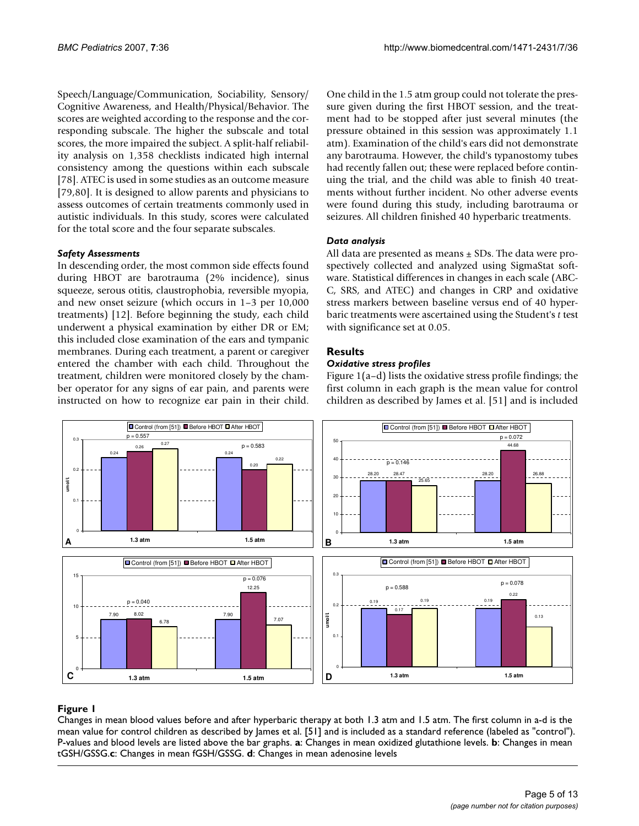Speech/Language/Communication, Sociability, Sensory/ Cognitive Awareness, and Health/Physical/Behavior. The scores are weighted according to the response and the corresponding subscale. The higher the subscale and total scores, the more impaired the subject. A split-half reliability analysis on 1,358 checklists indicated high internal consistency among the questions within each subscale [78]. ATEC is used in some studies as an outcome measure [79,80]. It is designed to allow parents and physicians to assess outcomes of certain treatments commonly used in autistic individuals. In this study, scores were calculated for the total score and the four separate subscales.

#### *Safety Assessments*

In descending order, the most common side effects found during HBOT are barotrauma (2% incidence), sinus squeeze, serous otitis, claustrophobia, reversible myopia, and new onset seizure (which occurs in 1–3 per 10,000 treatments) [12]. Before beginning the study, each child underwent a physical examination by either DR or EM; this included close examination of the ears and tympanic membranes. During each treatment, a parent or caregiver entered the chamber with each child. Throughout the treatment, children were monitored closely by the chamber operator for any signs of ear pain, and parents were instructed on how to recognize ear pain in their child. One child in the 1.5 atm group could not tolerate the pressure given during the first HBOT session, and the treatment had to be stopped after just several minutes (the pressure obtained in this session was approximately 1.1 atm). Examination of the child's ears did not demonstrate any barotrauma. However, the child's typanostomy tubes had recently fallen out; these were replaced before continuing the trial, and the child was able to finish 40 treatments without further incident. No other adverse events were found during this study, including barotrauma or seizures. All children finished 40 hyperbaric treatments.

#### *Data analysis*

All data are presented as means  $\pm$  SDs. The data were prospectively collected and analyzed using SigmaStat software. Statistical differences in changes in each scale (ABC-C, SRS, and ATEC) and changes in CRP and oxidative stress markers between baseline versus end of 40 hyperbaric treatments were ascertained using the Student's *t* test with significance set at 0.05.

# **Results**

#### *Oxidative stress profiles*

Figure 1(a–d) lists the oxidative stress profile findings; the first column in each graph is the mean value for control children as described by James et al. [51] and is included



# Changes in mean blood values before and after **Figure 1** hyperbaric therapy at both 1.3 atm and 1.5 atm

Changes in mean blood values before and after hyperbaric therapy at both 1.3 atm and 1.5 atm. The first column in a-d is the mean value for control children as described by James et al. [51] and is included as a standard reference (labeled as "control"). P-values and blood levels are listed above the bar graphs. **a**: Changes in mean oxidized glutathione levels. **b**: Changes in mean tGSH/GSSG.**c**: Changes in mean fGSH/GSSG. **d**: Changes in mean adenosine levels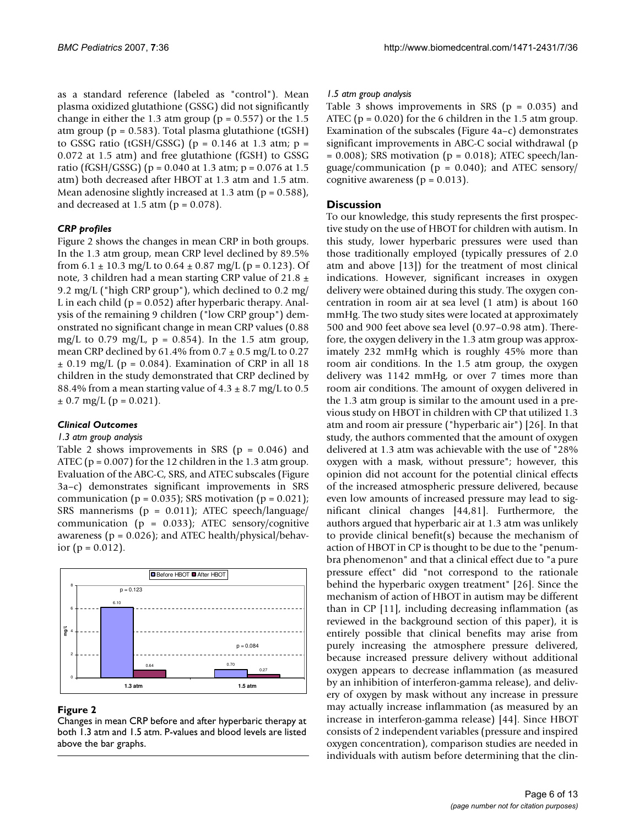as a standard reference (labeled as "control"). Mean plasma oxidized glutathione (GSSG) did not significantly change in either the 1.3 atm group ( $p = 0.557$ ) or the 1.5 atm group ( $p = 0.583$ ). Total plasma glutathione (tGSH) to GSSG ratio (tGSH/GSSG) ( $p = 0.146$  at 1.3 atm;  $p =$ 0.072 at 1.5 atm) and free glutathione (fGSH) to GSSG ratio (fGSH/GSSG) (p = 0.040 at 1.3 atm; p = 0.076 at 1.5 atm) both decreased after HBOT at 1.3 atm and 1.5 atm. Mean adenosine slightly increased at 1.3 atm ( $p = 0.588$ ), and decreased at 1.5 atm ( $p = 0.078$ ).

### *CRP profiles*

Figure 2 shows the changes in mean CRP in both groups. In the 1.3 atm group, mean CRP level declined by 89.5% from  $6.1 \pm 10.3$  mg/L to  $0.64 \pm 0.87$  mg/L (p = 0.123). Of note, 3 children had a mean starting CRP value of 21.8  $\pm$ 9.2 mg/L ("high CRP group"), which declined to 0.2 mg/ L in each child ( $p = 0.052$ ) after hyperbaric therapy. Analysis of the remaining 9 children ("low CRP group") demonstrated no significant change in mean CRP values (0.88 mg/L to 0.79 mg/L,  $p = 0.854$ ). In the 1.5 atm group, mean CRP declined by 61.4% from  $0.7 \pm 0.5$  mg/L to 0.27  $\pm$  0.19 mg/L (p = 0.084). Examination of CRP in all 18 children in the study demonstrated that CRP declined by 88.4% from a mean starting value of  $4.3 \pm 8.7$  mg/L to 0.5  $\pm$  0.7 mg/L (p = 0.021).

### *Clinical Outcomes*

#### *1.3 atm group analysis*

Table 2 shows improvements in SRS ( $p = 0.046$ ) and ATEC ( $p = 0.007$ ) for the 12 children in the 1.3 atm group. Evaluation of the ABC-C, SRS, and ATEC subscales (Figure 3a–c) demonstrates significant improvements in SRS communication ( $p = 0.035$ ); SRS motivation ( $p = 0.021$ ); SRS mannerisms (p = 0.011); ATEC speech/language/ communication (p = 0.033); ATEC sensory/cognitive awareness ( $p = 0.026$ ); and ATEC health/physical/behavior ( $p = 0.012$ ).



#### Figure 2.

Changes in mean CRP before and after hyperbaric therapy at both 1.3 atm and 1.5 atm. P-values and blood levels are listed above the bar graphs.

#### *1.5 atm group analysis*

Table 3 shows improvements in SRS ( $p = 0.035$ ) and ATEC ( $p = 0.020$ ) for the 6 children in the 1.5 atm group. Examination of the subscales (Figure 4a–c) demonstrates significant improvements in ABC-C social withdrawal (p  $= 0.008$ ); SRS motivation (p  $= 0.018$ ); ATEC speech/language/communication ( $p = 0.040$ ); and ATEC sensory/ cognitive awareness ( $p = 0.013$ ).

#### **Discussion**

To our knowledge, this study represents the first prospective study on the use of HBOT for children with autism. In this study, lower hyperbaric pressures were used than those traditionally employed (typically pressures of 2.0 atm and above [13]) for the treatment of most clinical indications. However, significant increases in oxygen delivery were obtained during this study. The oxygen concentration in room air at sea level (1 atm) is about 160 mmHg. The two study sites were located at approximately 500 and 900 feet above sea level (0.97–0.98 atm). Therefore, the oxygen delivery in the 1.3 atm group was approximately 232 mmHg which is roughly 45% more than room air conditions. In the 1.5 atm group, the oxygen delivery was 1142 mmHg, or over 7 times more than room air conditions. The amount of oxygen delivered in the 1.3 atm group is similar to the amount used in a previous study on HBOT in children with CP that utilized 1.3 atm and room air pressure ("hyperbaric air") [26]. In that study, the authors commented that the amount of oxygen delivered at 1.3 atm was achievable with the use of "28% oxygen with a mask, without pressure"; however, this opinion did not account for the potential clinical effects of the increased atmospheric pressure delivered, because even low amounts of increased pressure may lead to significant clinical changes [44,81]. Furthermore, the authors argued that hyperbaric air at 1.3 atm was unlikely to provide clinical benefit(s) because the mechanism of action of HBOT in CP is thought to be due to the "penumbra phenomenon" and that a clinical effect due to "a pure pressure effect" did "not correspond to the rationale behind the hyperbaric oxygen treatment" [26]. Since the mechanism of action of HBOT in autism may be different than in CP [11], including decreasing inflammation (as reviewed in the background section of this paper), it is entirely possible that clinical benefits may arise from purely increasing the atmosphere pressure delivered, because increased pressure delivery without additional oxygen appears to decrease inflammation (as measured by an inhibition of interferon-gamma release), and delivery of oxygen by mask without any increase in pressure may actually increase inflammation (as measured by an increase in interferon-gamma release) [44]. Since HBOT consists of 2 independent variables (pressure and inspired oxygen concentration), comparison studies are needed in individuals with autism before determining that the clin-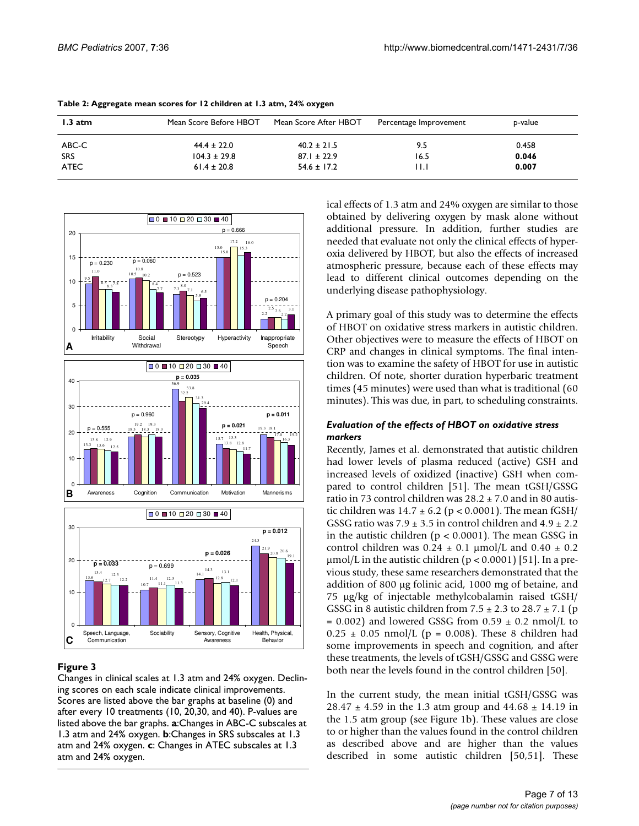| $1.3$ atm   | Mean Score Before HBOT | Mean Score After HBOT | Percentage Improvement | p-value |
|-------------|------------------------|-----------------------|------------------------|---------|
| ABC-C       | $44.4 \pm 22.0$        | $40.2 \pm 21.5$       | 9.5                    | 0.458   |
| <b>SRS</b>  | $104.3 \pm 29.8$       | $87.1 \pm 22.9$       | 16.5                   | 0.046   |
| <b>ATEC</b> | $61.4 \pm 20.8$        | $54.6 \pm 17.2$       | H.I                    | 0.007   |

**Table 2: Aggregate mean scores for 12 children at 1.3 atm, 24% oxygen**



lead to different clinical outcomes depending on the underlying disease pathophysiology. A primary goal of this study was to determine the effects of HBOT on oxidative stress markers in autistic children.

Other objectives were to measure the effects of HBOT on CRP and changes in clinical symptoms. The final intention was to examine the safety of HBOT for use in autistic children. Of note, shorter duration hyperbaric treatment times (45 minutes) were used than what is traditional (60 minutes). This was due, in part, to scheduling constraints.

ical effects of 1.3 atm and 24% oxygen are similar to those obtained by delivering oxygen by mask alone without additional pressure. In addition, further studies are needed that evaluate not only the clinical effects of hyperoxia delivered by HBOT, but also the effects of increased atmospheric pressure, because each of these effects may

# *Evaluation of the effects of HBOT on oxidative stress markers*

Recently, James et al. demonstrated that autistic children had lower levels of plasma reduced (active) GSH and increased levels of oxidized (inactive) GSH when compared to control children [51]. The mean tGSH/GSSG ratio in 73 control children was 28.2 ± 7.0 and in 80 autistic children was  $14.7 \pm 6.2$  (p < 0.0001). The mean fGSH/ GSSG ratio was  $7.9 \pm 3.5$  in control children and  $4.9 \pm 2.2$ in the autistic children ( $p < 0.0001$ ). The mean GSSG in control children was  $0.24 \pm 0.1$  µmol/L and  $0.40 \pm 0.2$  $\mu$ mol/L in the autistic children (p < 0.0001) [51]. In a previous study, these same researchers demonstrated that the addition of 800 µg folinic acid, 1000 mg of betaine, and 75 µg/kg of injectable methylcobalamin raised tGSH/ GSSG in 8 autistic children from  $7.5 \pm 2.3$  to  $28.7 \pm 7.1$  (p  $= 0.002$ ) and lowered GSSG from 0.59  $\pm$  0.2 nmol/L to  $0.25 \pm 0.05$  nmol/L (p = 0.008). These 8 children had some improvements in speech and cognition, and after these treatments, the levels of tGSH/GSSG and GSSG were both near the levels found in the control children [50].

In the current study, the mean initial tGSH/GSSG was 28.47  $\pm$  4.59 in the 1.3 atm group and 44.68  $\pm$  14.19 in the 1.5 atm group (see Figure 1b). These values are close to or higher than the values found in the control children as described above and are higher than the values described in some autistic children [50,51]. These

# **Figure 3**

0

**C**

Speech, Language, **Communication** 

10

Changes in clinical scales at 1.3 atm and 24% oxygen. Declining scores on each scale indicate clinical improvements. Scores are listed above the bar graphs at baseline (0) and after every 10 treatments (10, 20,30, and 40). P-values are listed above the bar graphs. **a**:Changes in ABC-C subscales at 1.3 atm and 24% oxygen. **b**:Changes in SRS subscales at 1.3 atm and 24% oxygen. **c**: Changes in ATEC subscales at 1.3 atm and 24% oxygen.

Sociability Sensory, Cognitive

Awareness

Health, Physical, **Behavior** 

10.7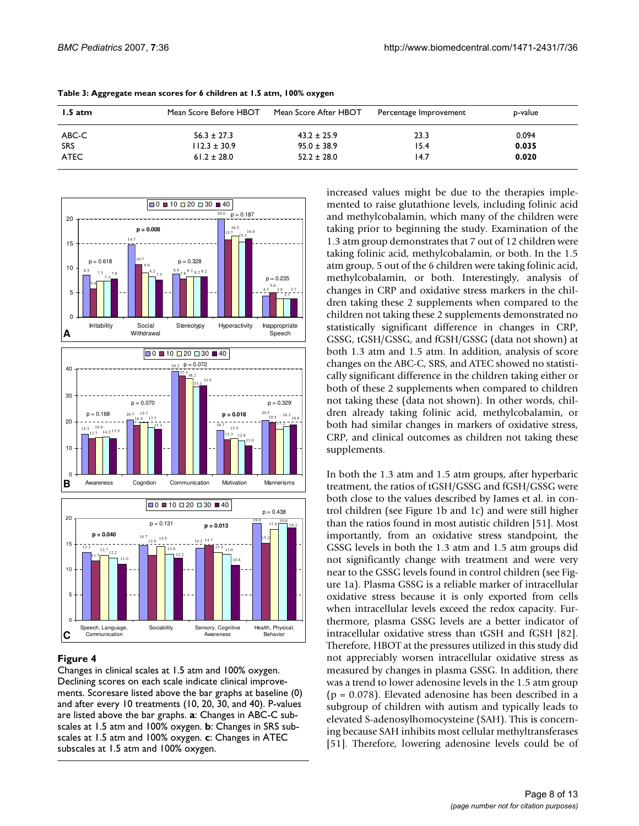| $1.5$ atm   | Mean Score Before HBOT | Mean Score After HBOT | Percentage Improvement | p-value |
|-------------|------------------------|-----------------------|------------------------|---------|
| ABC-C       | $56.3 \pm 27.3$        | $43.2 \pm 25.9$       | 23.3                   | 0.094   |
| <b>SRS</b>  | $112.3 \pm 30.9$       | $95.0 \pm 38.9$       | 15.4                   | 0.035   |
| <b>ATEC</b> | $61.2 \pm 28.0$        | $52.2 \pm 28.0$       | 14.7                   | 0.020   |

**Table 3: Aggregate mean scores for 6 children at 1.5 atm, 100% oxygen**



#### **Figure 4**

Changes in clinical scales at 1.5 atm and 100% oxygen. Declining scores on each scale indicate clinical improvements. Scoresare listed above the bar graphs at baseline (0) and after every 10 treatments (10, 20, 30, and 40). P-values are listed above the bar graphs. **a**: Changes in ABC-C subscales at 1.5 atm and 100% oxygen. **b**: Changes in SRS subscales at 1.5 atm and 100% oxygen. **c**: Changes in ATEC subscales at 1.5 atm and 100% oxygen.

increased values might be due to the therapies implemented to raise glutathione levels, including folinic acid and methylcobalamin, which many of the children were taking prior to beginning the study. Examination of the 1.3 atm group demonstrates that 7 out of 12 children were taking folinic acid, methylcobalamin, or both. In the 1.5 atm group, 5 out of the 6 children were taking folinic acid, methylcobalamin, or both. Interestingly, analysis of changes in CRP and oxidative stress markers in the children taking these 2 supplements when compared to the children not taking these 2 supplements demonstrated no statistically significant difference in changes in CRP, GSSG, tGSH/GSSG, and fGSH/GSSG (data not shown) at both 1.3 atm and 1.5 atm. In addition, analysis of score changes on the ABC-C, SRS, and ATEC showed no statistically significant difference in the children taking either or both of these 2 supplements when compared to children not taking these (data not shown). In other words, children already taking folinic acid, methylcobalamin, or both had similar changes in markers of oxidative stress, CRP, and clinical outcomes as children not taking these supplements.

In both the 1.3 atm and 1.5 atm groups, after hyperbaric treatment, the ratios of tGSH/GSSG and fGSH/GSSG were both close to the values described by James et al. in control children (see Figure 1b and 1c) and were still higher than the ratios found in most autistic children [51]. Most importantly, from an oxidative stress standpoint, the GSSG levels in both the 1.3 atm and 1.5 atm groups did not significantly change with treatment and were very near to the GSSG levels found in control children (see Figure 1a). Plasma GSSG is a reliable marker of intracellular oxidative stress because it is only exported from cells when intracellular levels exceed the redox capacity. Furthermore, plasma GSSG levels are a better indicator of intracellular oxidative stress than tGSH and fGSH [82]. Therefore, HBOT at the pressures utilized in this study did not appreciably worsen intracellular oxidative stress as measured by changes in plasma GSSG. In addition, there was a trend to lower adenosine levels in the 1.5 atm group  $(p = 0.078)$ . Elevated adenosine has been described in a subgroup of children with autism and typically leads to elevated S-adenosylhomocysteine (SAH). This is concerning because SAH inhibits most cellular methyltransferases [51]. Therefore, lowering adenosine levels could be of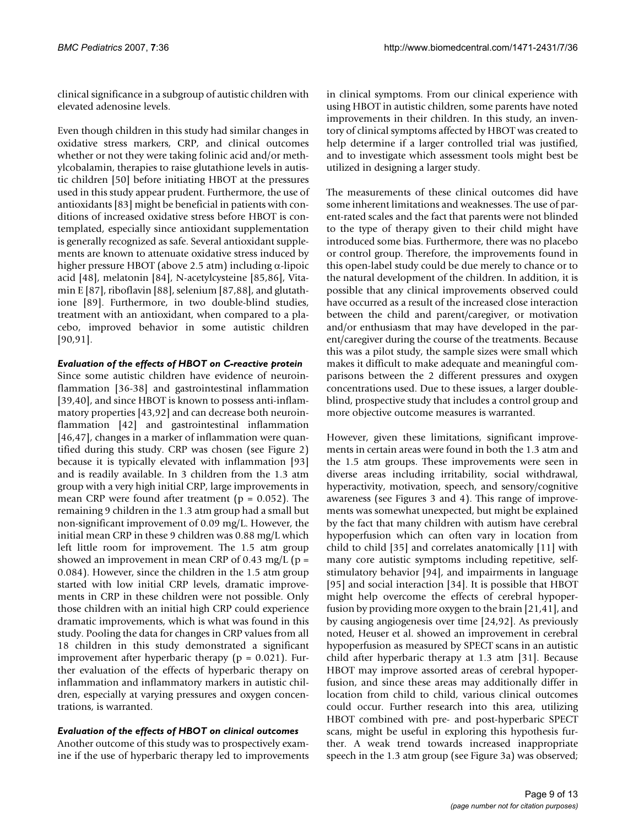clinical significance in a subgroup of autistic children with elevated adenosine levels.

Even though children in this study had similar changes in oxidative stress markers, CRP, and clinical outcomes whether or not they were taking folinic acid and/or methylcobalamin, therapies to raise glutathione levels in autistic children [50] before initiating HBOT at the pressures used in this study appear prudent. Furthermore, the use of antioxidants [83] might be beneficial in patients with conditions of increased oxidative stress before HBOT is contemplated, especially since antioxidant supplementation is generally recognized as safe. Several antioxidant supplements are known to attenuate oxidative stress induced by higher pressure HBOT (above 2.5 atm) including  $\alpha$ -lipoic acid [48], melatonin [84], N-acetylcysteine [85,86], Vitamin E [87], riboflavin [88], selenium [87,88], and glutathione [89]. Furthermore, in two double-blind studies, treatment with an antioxidant, when compared to a placebo, improved behavior in some autistic children [90,91].

# *Evaluation of the effects of HBOT on C-reactive protein*

Since some autistic children have evidence of neuroinflammation [36-38] and gastrointestinal inflammation [39,40], and since HBOT is known to possess anti-inflammatory properties [43,92] and can decrease both neuroinflammation [42] and gastrointestinal inflammation [46,47], changes in a marker of inflammation were quantified during this study. CRP was chosen (see Figure 2) because it is typically elevated with inflammation [93] and is readily available. In 3 children from the 1.3 atm group with a very high initial CRP, large improvements in mean CRP were found after treatment ( $p = 0.052$ ). The remaining 9 children in the 1.3 atm group had a small but non-significant improvement of 0.09 mg/L. However, the initial mean CRP in these 9 children was 0.88 mg/L which left little room for improvement. The 1.5 atm group showed an improvement in mean CRP of 0.43 mg/L ( $p =$ 0.084). However, since the children in the 1.5 atm group started with low initial CRP levels, dramatic improvements in CRP in these children were not possible. Only those children with an initial high CRP could experience dramatic improvements, which is what was found in this study. Pooling the data for changes in CRP values from all 18 children in this study demonstrated a significant improvement after hyperbaric therapy ( $p = 0.021$ ). Further evaluation of the effects of hyperbaric therapy on inflammation and inflammatory markers in autistic children, especially at varying pressures and oxygen concentrations, is warranted.

# *Evaluation of the effects of HBOT on clinical outcomes*

Another outcome of this study was to prospectively examine if the use of hyperbaric therapy led to improvements in clinical symptoms. From our clinical experience with using HBOT in autistic children, some parents have noted improvements in their children. In this study, an inventory of clinical symptoms affected by HBOT was created to help determine if a larger controlled trial was justified, and to investigate which assessment tools might best be utilized in designing a larger study.

The measurements of these clinical outcomes did have some inherent limitations and weaknesses. The use of parent-rated scales and the fact that parents were not blinded to the type of therapy given to their child might have introduced some bias. Furthermore, there was no placebo or control group. Therefore, the improvements found in this open-label study could be due merely to chance or to the natural development of the children. In addition, it is possible that any clinical improvements observed could have occurred as a result of the increased close interaction between the child and parent/caregiver, or motivation and/or enthusiasm that may have developed in the parent/caregiver during the course of the treatments. Because this was a pilot study, the sample sizes were small which makes it difficult to make adequate and meaningful comparisons between the 2 different pressures and oxygen concentrations used. Due to these issues, a larger doubleblind, prospective study that includes a control group and more objective outcome measures is warranted.

However, given these limitations, significant improvements in certain areas were found in both the 1.3 atm and the 1.5 atm groups. These improvements were seen in diverse areas including irritability, social withdrawal, hyperactivity, motivation, speech, and sensory/cognitive awareness (see Figures 3 and 4). This range of improvements was somewhat unexpected, but might be explained by the fact that many children with autism have cerebral hypoperfusion which can often vary in location from child to child [35] and correlates anatomically [11] with many core autistic symptoms including repetitive, selfstimulatory behavior [94], and impairments in language [95] and social interaction [34]. It is possible that HBOT might help overcome the effects of cerebral hypoperfusion by providing more oxygen to the brain [21,41], and by causing angiogenesis over time [24,92]. As previously noted, Heuser et al. showed an improvement in cerebral hypoperfusion as measured by SPECT scans in an autistic child after hyperbaric therapy at 1.3 atm [31]. Because HBOT may improve assorted areas of cerebral hypoperfusion, and since these areas may additionally differ in location from child to child, various clinical outcomes could occur. Further research into this area, utilizing HBOT combined with pre- and post-hyperbaric SPECT scans, might be useful in exploring this hypothesis further. A weak trend towards increased inappropriate speech in the 1.3 atm group (see Figure 3a) was observed;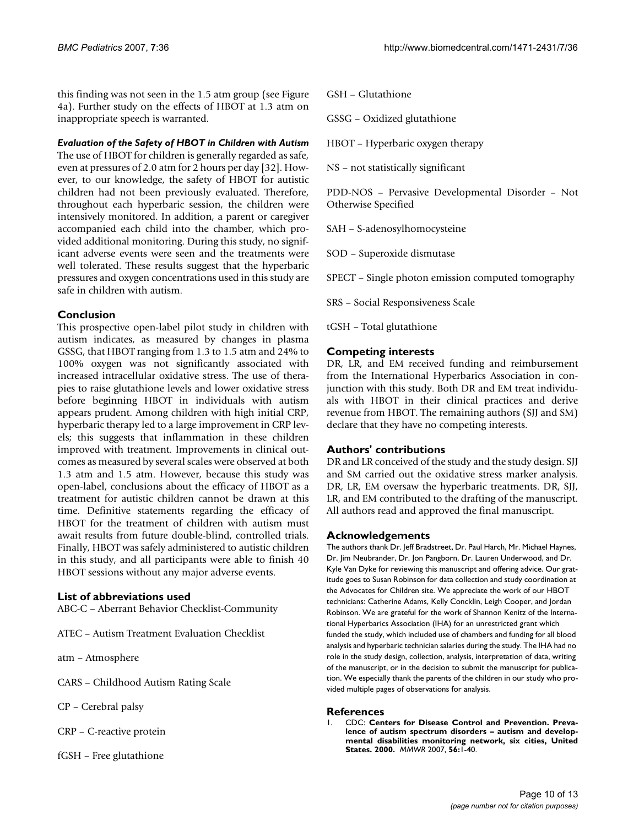this finding was not seen in the 1.5 atm group (see Figure 4a). Further study on the effects of HBOT at 1.3 atm on inappropriate speech is warranted.

# *Evaluation of the Safety of HBOT in Children with Autism*

The use of HBOT for children is generally regarded as safe, even at pressures of 2.0 atm for 2 hours per day [32]. However, to our knowledge, the safety of HBOT for autistic children had not been previously evaluated. Therefore, throughout each hyperbaric session, the children were intensively monitored. In addition, a parent or caregiver accompanied each child into the chamber, which provided additional monitoring. During this study, no significant adverse events were seen and the treatments were well tolerated. These results suggest that the hyperbaric pressures and oxygen concentrations used in this study are safe in children with autism.

# **Conclusion**

This prospective open-label pilot study in children with autism indicates, as measured by changes in plasma GSSG, that HBOT ranging from 1.3 to 1.5 atm and 24% to 100% oxygen was not significantly associated with increased intracellular oxidative stress. The use of therapies to raise glutathione levels and lower oxidative stress before beginning HBOT in individuals with autism appears prudent. Among children with high initial CRP, hyperbaric therapy led to a large improvement in CRP levels; this suggests that inflammation in these children improved with treatment. Improvements in clinical outcomes as measured by several scales were observed at both 1.3 atm and 1.5 atm. However, because this study was open-label, conclusions about the efficacy of HBOT as a treatment for autistic children cannot be drawn at this time. Definitive statements regarding the efficacy of HBOT for the treatment of children with autism must await results from future double-blind, controlled trials. Finally, HBOT was safely administered to autistic children in this study, and all participants were able to finish 40 HBOT sessions without any major adverse events.

# **List of abbreviations used**

ABC-C – Aberrant Behavior Checklist-Community

- ATEC Autism Treatment Evaluation Checklist
- atm Atmosphere
- CARS Childhood Autism Rating Scale
- CP Cerebral palsy
- CRP C-reactive protein
- fGSH Free glutathione

### GSH – Glutathione

GSSG – Oxidized glutathione

HBOT – Hyperbaric oxygen therapy

NS – not statistically significant

PDD-NOS – Pervasive Developmental Disorder – Not Otherwise Specified

- SAH S-adenosylhomocysteine
- SOD Superoxide dismutase

SPECT – Single photon emission computed tomography

- SRS Social Responsiveness Scale
- tGSH Total glutathione

# **Competing interests**

DR, LR, and EM received funding and reimbursement from the International Hyperbarics Association in conjunction with this study. Both DR and EM treat individuals with HBOT in their clinical practices and derive revenue from HBOT. The remaining authors (SJJ and SM) declare that they have no competing interests.

# **Authors' contributions**

DR and LR conceived of the study and the study design. SJJ and SM carried out the oxidative stress marker analysis. DR, LR, EM oversaw the hyperbaric treatments. DR, SJJ, LR, and EM contributed to the drafting of the manuscript. All authors read and approved the final manuscript.

### **Acknowledgements**

The authors thank Dr. Jeff Bradstreet, Dr. Paul Harch, Mr. Michael Haynes, Dr. Jim Neubrander, Dr. Jon Pangborn, Dr. Lauren Underwood, and Dr. Kyle Van Dyke for reviewing this manuscript and offering advice. Our gratitude goes to Susan Robinson for data collection and study coordination at the Advocates for Children site. We appreciate the work of our HBOT technicians: Catherine Adams, Kelly Concklin, Leigh Cooper, and Jordan Robinson. We are grateful for the work of Shannon Kenitz of the International Hyperbarics Association (IHA) for an unrestricted grant which funded the study, which included use of chambers and funding for all blood analysis and hyperbaric technician salaries during the study. The IHA had no role in the study design, collection, analysis, interpretation of data, writing of the manuscript, or in the decision to submit the manuscript for publication. We especially thank the parents of the children in our study who provided multiple pages of observations for analysis.

### **References**

1. CDC: **Centers for Disease Control and Prevention. Prevalence of autism spectrum disorders – autism and developmental disabilities monitoring network, six cities, United States. 2000.** *MMWR* 2007, **56:**1-40.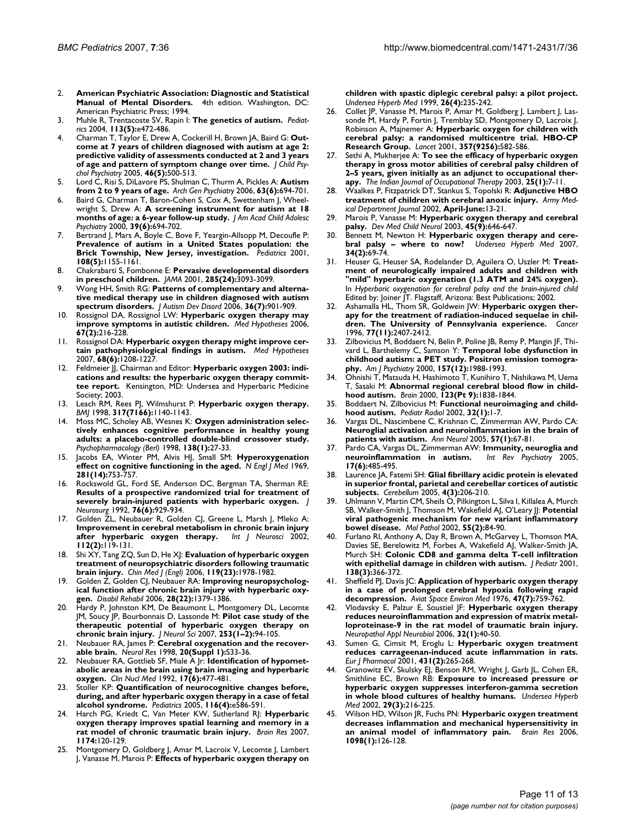- 2. **American Psychiatric Association: Diagnostic and Statistical Manual of Mental Disorders.** 4th edition. Washington, DC: American Psychiatric Press; 1994.
- 3. Muhle R, Trentacoste SV, Rapin I: **[The genetics of autism.](http://www.ncbi.nlm.nih.gov/entrez/query.fcgi?cmd=Retrieve&db=PubMed&dopt=Abstract&list_uids=15121991)** *Pediatrics* 2004, **113(5):**e472-486.
- 4. Charman T, Taylor E, Drew A, Cockerill H, Brown JA, Baird G: **[Out](http://www.ncbi.nlm.nih.gov/entrez/query.fcgi?cmd=Retrieve&db=PubMed&dopt=Abstract&list_uids=15845130)come at 7 years of children diagnosed with autism at age 2: [predictive validity of assessments conducted at 2 and 3 years](http://www.ncbi.nlm.nih.gov/entrez/query.fcgi?cmd=Retrieve&db=PubMed&dopt=Abstract&list_uids=15845130) [of age and pattern of symptom change over time.](http://www.ncbi.nlm.nih.gov/entrez/query.fcgi?cmd=Retrieve&db=PubMed&dopt=Abstract&list_uids=15845130)** *J Child Psychol Psychiatry* 2005, **46(5):**500-513.
- 5. Lord C, Risi S, DiLavore PS, Shulman C, Thurm A, Pickles A: **[Autism](http://www.ncbi.nlm.nih.gov/entrez/query.fcgi?cmd=Retrieve&db=PubMed&dopt=Abstract&list_uids=16754843) [from 2 to 9 years of age.](http://www.ncbi.nlm.nih.gov/entrez/query.fcgi?cmd=Retrieve&db=PubMed&dopt=Abstract&list_uids=16754843)** *Arch Gen Psychiatry* 2006, **63(6):**694-701.
- 6. Baird G, Charman T, Baron-Cohen S, Cox A, Swettenham J, Wheelwright S, Drew A: **[A screening instrument for autism at 18](http://www.ncbi.nlm.nih.gov/entrez/query.fcgi?cmd=Retrieve&db=PubMed&dopt=Abstract&list_uids=10846303) [months of age: a 6-year follow-up study.](http://www.ncbi.nlm.nih.gov/entrez/query.fcgi?cmd=Retrieve&db=PubMed&dopt=Abstract&list_uids=10846303)** *J Am Acad Child Adolesc Psychiatry* 2000, **39(6):**694-702.
- 7. Bertrand J, Mars A, Boyle C, Bove F, Yeargin-Allsopp M, Decoufle P: **[Prevalence of autism in a United States population: the](http://www.ncbi.nlm.nih.gov/entrez/query.fcgi?cmd=Retrieve&db=PubMed&dopt=Abstract&list_uids=11694696) [Brick Township, New Jersey, investigation.](http://www.ncbi.nlm.nih.gov/entrez/query.fcgi?cmd=Retrieve&db=PubMed&dopt=Abstract&list_uids=11694696)** *Pediatrics* 2001, **108(5):**1155-1161.
- 8. Chakrabarti S, Fombonne E: **[Pervasive developmental disorders](http://www.ncbi.nlm.nih.gov/entrez/query.fcgi?cmd=Retrieve&db=PubMed&dopt=Abstract&list_uids=11427137) [in preschool children.](http://www.ncbi.nlm.nih.gov/entrez/query.fcgi?cmd=Retrieve&db=PubMed&dopt=Abstract&list_uids=11427137)** *JAMA* 2001, **285(24):**3093-3099.
- 9. Wong HH, Smith RG: **[Patterns of complementary and alterna](http://www.ncbi.nlm.nih.gov/entrez/query.fcgi?cmd=Retrieve&db=PubMed&dopt=Abstract&list_uids=16897395)[tive medical therapy use in children diagnosed with autism](http://www.ncbi.nlm.nih.gov/entrez/query.fcgi?cmd=Retrieve&db=PubMed&dopt=Abstract&list_uids=16897395) [spectrum disorders.](http://www.ncbi.nlm.nih.gov/entrez/query.fcgi?cmd=Retrieve&db=PubMed&dopt=Abstract&list_uids=16897395)** *J Autism Dev Disord* 2006, **36(7):**901-909.
- 10. Rossignol DA, Rossignol LW: **[Hyperbaric oxygen therapy may](http://www.ncbi.nlm.nih.gov/entrez/query.fcgi?cmd=Retrieve&db=PubMed&dopt=Abstract&list_uids=16554123) [improve symptoms in autistic children.](http://www.ncbi.nlm.nih.gov/entrez/query.fcgi?cmd=Retrieve&db=PubMed&dopt=Abstract&list_uids=16554123)** *Med Hypotheses* 2006, **67(2):**216-228.
- 11. Rossignol DA: **[Hyperbaric oxygen therapy might improve cer](http://www.ncbi.nlm.nih.gov/entrez/query.fcgi?cmd=Retrieve&db=PubMed&dopt=Abstract&list_uids=17141962)[tain pathophysiological findings in autism.](http://www.ncbi.nlm.nih.gov/entrez/query.fcgi?cmd=Retrieve&db=PubMed&dopt=Abstract&list_uids=17141962)** *Med Hypotheses* 2007, **68(6):**1208-1227.
- 12. Feldmeier JJ, Chairman and Editor: Hyperbaric oxygen 2003: indi**cations and results: the hyperbaric oxygen therapy committee report.** Kensington, MD: Undersea and Hyperbaric Medicine Society; 2003.
- 13. Leach RM, Rees PJ, Wilmshurst P: **[Hyperbaric oxygen therapy.](http://www.ncbi.nlm.nih.gov/entrez/query.fcgi?cmd=Retrieve&db=PubMed&dopt=Abstract&list_uids=9784458)** *BMJ* 1998, **317(7166):**1140-1143.
- 14. Moss MC, Scholey AB, Wesnes K: **[Oxygen administration selec](http://www.ncbi.nlm.nih.gov/entrez/query.fcgi?cmd=Retrieve&db=PubMed&dopt=Abstract&list_uids=9694523)tively enhances cognitive performance in healthy young [adults: a placebo-controlled double-blind crossover study.](http://www.ncbi.nlm.nih.gov/entrez/query.fcgi?cmd=Retrieve&db=PubMed&dopt=Abstract&list_uids=9694523)** *Psychopharmacology (Berl)* 1998, **138(1):**27-33.
- 15. Jacobs EA, Winter PM, Alvis HJ, Small SM: **[Hyperoxygenation](http://www.ncbi.nlm.nih.gov/entrez/query.fcgi?cmd=Retrieve&db=PubMed&dopt=Abstract&list_uids=4897016) [effect on cognitive functioning in the aged.](http://www.ncbi.nlm.nih.gov/entrez/query.fcgi?cmd=Retrieve&db=PubMed&dopt=Abstract&list_uids=4897016)** *N Engl J Med* 1969, **281(14):**753-757.
- Rockswold GL, Ford SE, Anderson DC, Bergman TA, Sherman RE: **[Results of a prospective randomized trial for treatment of](http://www.ncbi.nlm.nih.gov/entrez/query.fcgi?cmd=Retrieve&db=PubMed&dopt=Abstract&list_uids=1588426) [severely brain-injured patients with hyperbaric oxygen.](http://www.ncbi.nlm.nih.gov/entrez/query.fcgi?cmd=Retrieve&db=PubMed&dopt=Abstract&list_uids=1588426)** *J Neurosurg* 1992, **76(6):**929-934.
- 17. Golden ZL, Neubauer R, Golden CJ, Greene L, Marsh J, Mleko A: **[Improvement in cerebral metabolism in chronic brain injury](http://www.ncbi.nlm.nih.gov/entrez/query.fcgi?cmd=Retrieve&db=PubMed&dopt=Abstract&list_uids=12325401)**<br>**after hyperbaric oxygen therapy.** Int I Neurosci 2002. [after hyperbaric oxygen therapy.](http://www.ncbi.nlm.nih.gov/entrez/query.fcgi?cmd=Retrieve&db=PubMed&dopt=Abstract&list_uids=12325401) **112(2):**119-131.
- 18. Shi XY, Tang ZQ, Sun D, He XJ: **[Evaluation of hyperbaric oxygen](http://www.ncbi.nlm.nih.gov/entrez/query.fcgi?cmd=Retrieve&db=PubMed&dopt=Abstract&list_uids=17199942) [treatment of neuropsychiatric disorders following traumatic](http://www.ncbi.nlm.nih.gov/entrez/query.fcgi?cmd=Retrieve&db=PubMed&dopt=Abstract&list_uids=17199942) [brain injury.](http://www.ncbi.nlm.nih.gov/entrez/query.fcgi?cmd=Retrieve&db=PubMed&dopt=Abstract&list_uids=17199942)** *Chin Med J (Engl)* 2006, **119(23):**1978-1982.
- Golden Z, Golden CJ, Neubauer RA: [Improving neuropsycholog](http://www.ncbi.nlm.nih.gov/entrez/query.fcgi?cmd=Retrieve&db=PubMed&dopt=Abstract&list_uids=17071569)**[ical function after chronic brain injury with hyperbaric oxy](http://www.ncbi.nlm.nih.gov/entrez/query.fcgi?cmd=Retrieve&db=PubMed&dopt=Abstract&list_uids=17071569)[gen.](http://www.ncbi.nlm.nih.gov/entrez/query.fcgi?cmd=Retrieve&db=PubMed&dopt=Abstract&list_uids=17071569)** *Disabil Rehabil* 2006, **28(22):**1379-1386.
- 20. Hardy P, Johnston KM, De Beaumont L, Montgomery DL, Lecomte JM, Soucy JP, Bourbonnais D, Lassonde M: **[Pilot case study of the](http://www.ncbi.nlm.nih.gov/entrez/query.fcgi?cmd=Retrieve&db=PubMed&dopt=Abstract&list_uids=17234213) [therapeutic potential of hyperbaric oxygen therapy on](http://www.ncbi.nlm.nih.gov/entrez/query.fcgi?cmd=Retrieve&db=PubMed&dopt=Abstract&list_uids=17234213) [chronic brain injury.](http://www.ncbi.nlm.nih.gov/entrez/query.fcgi?cmd=Retrieve&db=PubMed&dopt=Abstract&list_uids=17234213)** *J Neurol Sci* 2007, **253(1–2):**94-105.
- 21. Neubauer RA, James P: **[Cerebral oxygenation and the recover](http://www.ncbi.nlm.nih.gov/entrez/query.fcgi?cmd=Retrieve&db=PubMed&dopt=Abstract&list_uids=9584921)[able brain.](http://www.ncbi.nlm.nih.gov/entrez/query.fcgi?cmd=Retrieve&db=PubMed&dopt=Abstract&list_uids=9584921)** *Neurol Res* 1998, **20(Suppl 1):**S33-36.
- 22. Neubauer RA, Gottlieb SF, Miale A Jr: **[Identification of hypomet](http://www.ncbi.nlm.nih.gov/entrez/query.fcgi?cmd=Retrieve&db=PubMed&dopt=Abstract&list_uids=1617842)[abolic areas in the brain using brain imaging and hyperbaric](http://www.ncbi.nlm.nih.gov/entrez/query.fcgi?cmd=Retrieve&db=PubMed&dopt=Abstract&list_uids=1617842) [oxygen.](http://www.ncbi.nlm.nih.gov/entrez/query.fcgi?cmd=Retrieve&db=PubMed&dopt=Abstract&list_uids=1617842)** *Clin Nucl Med* 1992, **17(6):**477-481.
- Stoller KP: [Quantification of neurocognitive changes before,](http://www.ncbi.nlm.nih.gov/entrez/query.fcgi?cmd=Retrieve&db=PubMed&dopt=Abstract&list_uids=16166387) **[during, and after hyperbaric oxygen therapy in a case of fetal](http://www.ncbi.nlm.nih.gov/entrez/query.fcgi?cmd=Retrieve&db=PubMed&dopt=Abstract&list_uids=16166387) [alcohol syndrome.](http://www.ncbi.nlm.nih.gov/entrez/query.fcgi?cmd=Retrieve&db=PubMed&dopt=Abstract&list_uids=16166387)** *Pediatrics* 2005, **116(4):**e586-591.
- 24. Harch PG, Kriedt C, Van Meter KW, Sutherland RJ: **[Hyperbaric](http://www.ncbi.nlm.nih.gov/entrez/query.fcgi?cmd=Retrieve&db=PubMed&dopt=Abstract&list_uids=17869230) [oxygen therapy improves spatial learning and memory in a](http://www.ncbi.nlm.nih.gov/entrez/query.fcgi?cmd=Retrieve&db=PubMed&dopt=Abstract&list_uids=17869230) [rat model of chronic traumatic brain injury.](http://www.ncbi.nlm.nih.gov/entrez/query.fcgi?cmd=Retrieve&db=PubMed&dopt=Abstract&list_uids=17869230)** *Brain Res* 2007, **1174:**120-129.
- 25. Montgomery D, Goldberg J, Amar M, Lacroix V, Lecomte J, Lambert J, Vanasse M, Marois P: **[Effects of hyperbaric oxygen therapy on](http://www.ncbi.nlm.nih.gov/entrez/query.fcgi?cmd=Retrieve&db=PubMed&dopt=Abstract&list_uids=10642070)**

**[children with spastic diplegic cerebral palsy: a pilot project.](http://www.ncbi.nlm.nih.gov/entrez/query.fcgi?cmd=Retrieve&db=PubMed&dopt=Abstract&list_uids=10642070)** *Undersea Hyperb Med* 1999, **26(4):**235-242.

- 26. Collet JP, Vanasse M, Marois P, Amar M, Goldberg J, Lambert J, Lassonde M, Hardy P, Fortin J, Tremblay SD, Montgomery D, Lacroix J, Robinson A, Majnemer A: **[Hyperbaric oxygen for children with](http://www.ncbi.nlm.nih.gov/entrez/query.fcgi?cmd=Retrieve&db=PubMed&dopt=Abstract&list_uids=11558483) [cerebral palsy: a randomised multicentre trial. HBO-CP](http://www.ncbi.nlm.nih.gov/entrez/query.fcgi?cmd=Retrieve&db=PubMed&dopt=Abstract&list_uids=11558483) [Research Group.](http://www.ncbi.nlm.nih.gov/entrez/query.fcgi?cmd=Retrieve&db=PubMed&dopt=Abstract&list_uids=11558483)** *Lancet* 2001, **357(9256):**582-586.
- 27. Sethi A, Mukherjee A: **To see the efficacy of hyperbaric oxygen therapy in gross motor abilities of cerebral palsy children of 2–5 years, given initially as an adjunct to occupational therapy.** *The Indian Journal of Occupational Therapy* 2003, **25(1):**7-11.
- 28. Waalkes P, Fitzpatrick DT, Stankus S, Topolski R: **Adjunctive HBO treatment of children with cerebral anoxic injury.** *Army Medical Department Journal* 2002, **April-June:**13-21.
- 29. Marois P, Vanasse M: **[Hyperbaric oxygen therapy and cerebral](http://www.ncbi.nlm.nih.gov/entrez/query.fcgi?cmd=Retrieve&db=PubMed&dopt=Abstract&list_uids=12948335) [palsy.](http://www.ncbi.nlm.nih.gov/entrez/query.fcgi?cmd=Retrieve&db=PubMed&dopt=Abstract&list_uids=12948335)** *Dev Med Child Neurol* 2003, **45(9):**646-647.
- Bennett M, Newton H: [Hyperbaric oxygen therapy and cere](http://www.ncbi.nlm.nih.gov/entrez/query.fcgi?cmd=Retrieve&db=PubMed&dopt=Abstract&list_uids=17520857)**[bral palsy – where to now?](http://www.ncbi.nlm.nih.gov/entrez/query.fcgi?cmd=Retrieve&db=PubMed&dopt=Abstract&list_uids=17520857)** *Undersea Hyperb Med* 2007, **34(2):**69-74.
- 31. Heuser G, Heuser SA, Rodelander D, Aguilera O, Uszler M: **Treatment of neurologically impaired adults and children with "mild" hyperbaric oxygenation (1.3 ATM and 24% oxygen).** In *Hyperbaric oxygenation for cerebral palsy and the brain-injured child* Edited by: Joiner JT. Flagstaff, Arizona: Best Publications; 2002.
- 32. Ashamalla HL, Thom SR, Goldwein JW: **[Hyperbaric oxygen ther](http://www.ncbi.nlm.nih.gov/entrez/query.fcgi?cmd=Retrieve&db=PubMed&dopt=Abstract&list_uids=8635114)[apy for the treatment of radiation-induced sequelae in chil](http://www.ncbi.nlm.nih.gov/entrez/query.fcgi?cmd=Retrieve&db=PubMed&dopt=Abstract&list_uids=8635114)[dren. The University of Pennsylvania experience.](http://www.ncbi.nlm.nih.gov/entrez/query.fcgi?cmd=Retrieve&db=PubMed&dopt=Abstract&list_uids=8635114)** *Cancer* 1996, **77(11):**2407-2412.
- 33. Zilbovicius M, Boddaert N, Belin P, Poline JB, Remy P, Mangin JF, Thivard L, Barthelemy C, Samson Y: **[Temporal lobe dysfunction in](http://www.ncbi.nlm.nih.gov/entrez/query.fcgi?cmd=Retrieve&db=PubMed&dopt=Abstract&list_uids=11097965) [childhood autism: a PET study. Positron emission tomogra](http://www.ncbi.nlm.nih.gov/entrez/query.fcgi?cmd=Retrieve&db=PubMed&dopt=Abstract&list_uids=11097965)[phy.](http://www.ncbi.nlm.nih.gov/entrez/query.fcgi?cmd=Retrieve&db=PubMed&dopt=Abstract&list_uids=11097965)** *Am J Psychiatry* 2000, **157(12):**1988-1993.
- 34. Ohnishi T, Matsuda H, Hashimoto T, Kunihiro T, Nishikawa M, Uema T, Sasaki M: **[Abnormal regional cerebral blood flow in child](http://www.ncbi.nlm.nih.gov/entrez/query.fcgi?cmd=Retrieve&db=PubMed&dopt=Abstract&list_uids=10960047)[hood autism.](http://www.ncbi.nlm.nih.gov/entrez/query.fcgi?cmd=Retrieve&db=PubMed&dopt=Abstract&list_uids=10960047)** *Brain* 2000, **123(Pt 9):**1838-1844.
- Boddaert N, Zilbovicius M: [Functional neuroimaging and child](http://www.ncbi.nlm.nih.gov/entrez/query.fcgi?cmd=Retrieve&db=PubMed&dopt=Abstract&list_uids=11819054)**[hood autism.](http://www.ncbi.nlm.nih.gov/entrez/query.fcgi?cmd=Retrieve&db=PubMed&dopt=Abstract&list_uids=11819054)** *Pediatr Radiol* 2002, **32(1):**1-7.
- 36. Vargas DL, Nascimbene C, Krishnan C, Zimmerman AW, Pardo CA: **[Neuroglial activation and neuroinflammation in the brain of](http://www.ncbi.nlm.nih.gov/entrez/query.fcgi?cmd=Retrieve&db=PubMed&dopt=Abstract&list_uids=15546155) [patients with autism.](http://www.ncbi.nlm.nih.gov/entrez/query.fcgi?cmd=Retrieve&db=PubMed&dopt=Abstract&list_uids=15546155)** *Ann Neurol* 2005, **57(1):**67-81.
- Pardo CA, Vargas DL, Zimmerman AW: **[Immunity, neuroglia and](http://www.ncbi.nlm.nih.gov/entrez/query.fcgi?cmd=Retrieve&db=PubMed&dopt=Abstract&list_uids=16401547)**<br>neuroinflammation in autism. Int Rev Psychiatry 2005, **[neuroinflammation in autism.](http://www.ncbi.nlm.nih.gov/entrez/query.fcgi?cmd=Retrieve&db=PubMed&dopt=Abstract&list_uids=16401547) 17(6):**485-495.
- 38. Laurence JA, Fatemi SH: **[Glial fibrillary acidic protein is elevated](http://www.ncbi.nlm.nih.gov/entrez/query.fcgi?cmd=Retrieve&db=PubMed&dopt=Abstract&list_uids=16147953) [in superior frontal, parietal and cerebellar cortices of autistic](http://www.ncbi.nlm.nih.gov/entrez/query.fcgi?cmd=Retrieve&db=PubMed&dopt=Abstract&list_uids=16147953) [subjects.](http://www.ncbi.nlm.nih.gov/entrez/query.fcgi?cmd=Retrieve&db=PubMed&dopt=Abstract&list_uids=16147953)** *Cerebellum* 2005, **4(3):**206-210.
- 39. Uhlmann V, Martin CM, Sheils O, Pilkington L, Silva I, Killalea A, Murch SB, Walker-Smith J, Thomson M, Wakefield AJ, O'Leary JJ: **[Potential](http://www.ncbi.nlm.nih.gov/entrez/query.fcgi?cmd=Retrieve&db=PubMed&dopt=Abstract&list_uids=11950955) [viral pathogenic mechanism for new variant inflammatory](http://www.ncbi.nlm.nih.gov/entrez/query.fcgi?cmd=Retrieve&db=PubMed&dopt=Abstract&list_uids=11950955) [bowel disease.](http://www.ncbi.nlm.nih.gov/entrez/query.fcgi?cmd=Retrieve&db=PubMed&dopt=Abstract&list_uids=11950955)** *Mol Pathol* 2002, **55(2):**84-90.
- Furlano RI, Anthony A, Day R, Brown A, McGarvey L, Thomson MA, Davies SE, Berelowitz M, Forbes A, Wakefield AJ, Walker-Smith JA, Murch SH: **[Colonic CD8 and gamma delta T-cell infiltration](http://www.ncbi.nlm.nih.gov/entrez/query.fcgi?cmd=Retrieve&db=PubMed&dopt=Abstract&list_uids=11241044) [with epithelial damage in children with autism.](http://www.ncbi.nlm.nih.gov/entrez/query.fcgi?cmd=Retrieve&db=PubMed&dopt=Abstract&list_uids=11241044)** *J Pediatr* 2001, **138(3):**366-372.
- 41. Sheffield PJ, Davis JC: **[Application of hyperbaric oxygen therapy](http://www.ncbi.nlm.nih.gov/entrez/query.fcgi?cmd=Retrieve&db=PubMed&dopt=Abstract&list_uids=971162) [in a case of prolonged cerebral hypoxia following rapid](http://www.ncbi.nlm.nih.gov/entrez/query.fcgi?cmd=Retrieve&db=PubMed&dopt=Abstract&list_uids=971162) [decompression.](http://www.ncbi.nlm.nih.gov/entrez/query.fcgi?cmd=Retrieve&db=PubMed&dopt=Abstract&list_uids=971162)** *Aviat Space Environ Med* 1976, **47(7):**759-762.
- 42. Vlodavsky E, Palzur E, Soustiel JF: **[Hyperbaric oxygen therapy](http://www.ncbi.nlm.nih.gov/entrez/query.fcgi?cmd=Retrieve&db=PubMed&dopt=Abstract&list_uids=16409552) reduces neuroinflammation and expression of matrix metal[loproteinase-9 in the rat model of traumatic brain injury.](http://www.ncbi.nlm.nih.gov/entrez/query.fcgi?cmd=Retrieve&db=PubMed&dopt=Abstract&list_uids=16409552)** *Neuropathol Appl Neurobiol* 2006, **32(1):**40-50.
- Sumen G, Cimsit M, Eroglu L: [Hyperbaric oxygen treatment](http://www.ncbi.nlm.nih.gov/entrez/query.fcgi?cmd=Retrieve&db=PubMed&dopt=Abstract&list_uids=11728435) **[reduces carrageenan-induced acute inflammation in rats.](http://www.ncbi.nlm.nih.gov/entrez/query.fcgi?cmd=Retrieve&db=PubMed&dopt=Abstract&list_uids=11728435)** *Eur J Pharmacol* 2001, **431(2):**265-268.
- 44. Granowitz EV, Skulsky EJ, Benson RM, Wright J, Garb JL, Cohen ER, Smithline EC, Brown RB: **[Exposure to increased pressure or](http://www.ncbi.nlm.nih.gov/entrez/query.fcgi?cmd=Retrieve&db=PubMed&dopt=Abstract&list_uids=12670123) [hyperbaric oxygen suppresses interferon-gamma secretion](http://www.ncbi.nlm.nih.gov/entrez/query.fcgi?cmd=Retrieve&db=PubMed&dopt=Abstract&list_uids=12670123) [in whole blood cultures of healthy humans.](http://www.ncbi.nlm.nih.gov/entrez/query.fcgi?cmd=Retrieve&db=PubMed&dopt=Abstract&list_uids=12670123)** *Undersea Hyperb Med* 2002, **29(3):**216-225.
- 45. Wilson HD, Wilson JR, Fuchs PN: **[Hyperbaric oxygen treatment](http://www.ncbi.nlm.nih.gov/entrez/query.fcgi?cmd=Retrieve&db=PubMed&dopt=Abstract&list_uids=16750177) [decreases inflammation and mechanical hypersensitivity in](http://www.ncbi.nlm.nih.gov/entrez/query.fcgi?cmd=Retrieve&db=PubMed&dopt=Abstract&list_uids=16750177) [an animal model of inflammatory pain.](http://www.ncbi.nlm.nih.gov/entrez/query.fcgi?cmd=Retrieve&db=PubMed&dopt=Abstract&list_uids=16750177)** *Brain Res* 2006, **1098(1):**126-128.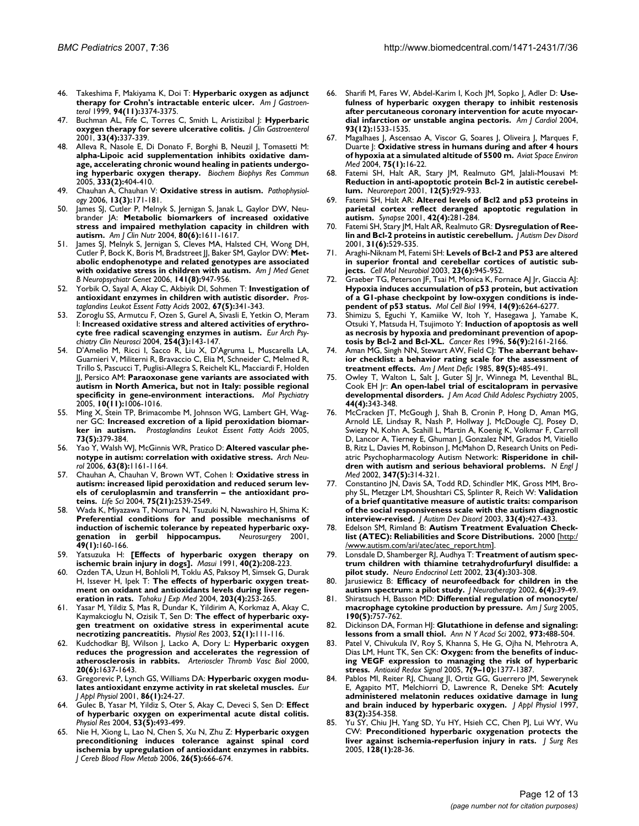- 46. Takeshima F, Makiyama K, Doi T: **[Hyperbaric oxygen as adjunct](http://www.ncbi.nlm.nih.gov/entrez/query.fcgi?cmd=Retrieve&db=PubMed&dopt=Abstract&list_uids=10566754) [therapy for Crohn's intractable enteric ulcer.](http://www.ncbi.nlm.nih.gov/entrez/query.fcgi?cmd=Retrieve&db=PubMed&dopt=Abstract&list_uids=10566754)** *Am J Gastroenterol* 1999, **94(11):**3374-3375.
- 47. Buchman AL, Fife C, Torres C, Smith L, Aristizibal J: **[Hyperbaric](http://www.ncbi.nlm.nih.gov/entrez/query.fcgi?cmd=Retrieve&db=PubMed&dopt=Abstract&list_uids=11588553) [oxygen therapy for severe ulcerative colitis.](http://www.ncbi.nlm.nih.gov/entrez/query.fcgi?cmd=Retrieve&db=PubMed&dopt=Abstract&list_uids=11588553)** *J Clin Gastroenterol* 2001, **33(4):**337-339.
- 48. Alleva R, Nasole E, Di Donato F, Borghi B, Neuzil J, Tomasetti M: **alpha-Lipoic acid supplementation inhibits oxidative dam[age, accelerating chronic wound healing in patients undergo](http://www.ncbi.nlm.nih.gov/entrez/query.fcgi?cmd=Retrieve&db=PubMed&dopt=Abstract&list_uids=15950945)[ing hyperbaric oxygen therapy.](http://www.ncbi.nlm.nih.gov/entrez/query.fcgi?cmd=Retrieve&db=PubMed&dopt=Abstract&list_uids=15950945)** *Biochem Biophys Res Commun* 2005, **333(2):**404-410.
- 49. Chauhan A, Chauhan V: **[Oxidative stress in autism.](http://www.ncbi.nlm.nih.gov/entrez/query.fcgi?cmd=Retrieve&db=PubMed&dopt=Abstract&list_uids=16766163)** *Pathophysiology* 2006, **13(3):**171-181.
- 50. James SJ, Cutler P, Melnyk S, Jernigan S, Janak L, Gaylor DW, Neubrander JA: **[Metabolic biomarkers of increased oxidative](http://www.ncbi.nlm.nih.gov/entrez/query.fcgi?cmd=Retrieve&db=PubMed&dopt=Abstract&list_uids=15585776) [stress and impaired methylation capacity in children with](http://www.ncbi.nlm.nih.gov/entrez/query.fcgi?cmd=Retrieve&db=PubMed&dopt=Abstract&list_uids=15585776) [autism.](http://www.ncbi.nlm.nih.gov/entrez/query.fcgi?cmd=Retrieve&db=PubMed&dopt=Abstract&list_uids=15585776)** *Am J Clin Nutr* 2004, **80(6):**1611-1617.
- 51. James SJ, Melnyk S, Jernigan S, Cleves MA, Halsted CH, Wong DH, Cutler P, Bock K, Boris M, Bradstreet JJ, Baker SM, Gaylor DW: **[Met](http://www.ncbi.nlm.nih.gov/entrez/query.fcgi?cmd=Retrieve&db=PubMed&dopt=Abstract&list_uids=16917939)[abolic endophenotype and related genotypes are associated](http://www.ncbi.nlm.nih.gov/entrez/query.fcgi?cmd=Retrieve&db=PubMed&dopt=Abstract&list_uids=16917939) [with oxidative stress in children with autism.](http://www.ncbi.nlm.nih.gov/entrez/query.fcgi?cmd=Retrieve&db=PubMed&dopt=Abstract&list_uids=16917939)** *Am J Med Genet B Neuropsychiatr Genet* 2006, **141(8):**947-956.
- 52. Yorbik O, Sayal A, Akay C, Akbiyik DI, Sohmen T: **[Investigation of](http://www.ncbi.nlm.nih.gov/entrez/query.fcgi?cmd=Retrieve&db=PubMed&dopt=Abstract&list_uids=12445495) [antioxidant enzymes in children with autistic disorder.](http://www.ncbi.nlm.nih.gov/entrez/query.fcgi?cmd=Retrieve&db=PubMed&dopt=Abstract&list_uids=12445495)** *Prostaglandins Leukot Essent Fatty Acids* 2002, **67(5):**341-343.
- 53. Zoroglu SS, Armutcu F, Ozen S, Gurel A, Sivasli E, Yetkin O, Meram I: **[Increased oxidative stress and altered activities of erythro](http://www.ncbi.nlm.nih.gov/entrez/query.fcgi?cmd=Retrieve&db=PubMed&dopt=Abstract&list_uids=15205966)[cyte free radical scavenging enzymes in autism.](http://www.ncbi.nlm.nih.gov/entrez/query.fcgi?cmd=Retrieve&db=PubMed&dopt=Abstract&list_uids=15205966)** *Eur Arch Psychiatry Clin Neurosci* 2004, **254(3):**143-147.
- 54. D'Amelio M, Ricci I, Sacco R, Liu X, D'Agruma L, Muscarella LA, Guarnieri V, Militerni R, Bravaccio C, Elia M, Schneider C, Melmed R, Trillo S, Pascucci T, Puglisi-Allegra S, Reichelt KL, Macciardi F, Holden JJ, Persico AM: **[Paraoxonase gene variants are associated with](http://www.ncbi.nlm.nih.gov/entrez/query.fcgi?cmd=Retrieve&db=PubMed&dopt=Abstract&list_uids=16027737) [autism in North America, but not in Italy: possible regional](http://www.ncbi.nlm.nih.gov/entrez/query.fcgi?cmd=Retrieve&db=PubMed&dopt=Abstract&list_uids=16027737) [specificity in gene-environment interactions.](http://www.ncbi.nlm.nih.gov/entrez/query.fcgi?cmd=Retrieve&db=PubMed&dopt=Abstract&list_uids=16027737)** *Mol Psychiatry* 2005, **10(11):**1006-1016.
- 55. Ming X, Stein TP, Brimacombe M, Johnson WG, Lambert GH, Wagner GC: **[Increased excretion of a lipid peroxidation biomar](http://www.ncbi.nlm.nih.gov/entrez/query.fcgi?cmd=Retrieve&db=PubMed&dopt=Abstract&list_uids=16081262)[ker in autism.](http://www.ncbi.nlm.nih.gov/entrez/query.fcgi?cmd=Retrieve&db=PubMed&dopt=Abstract&list_uids=16081262)** *Prostaglandins Leukot Essent Fatty Acids* 2005, **73(5):**379-384.
- 56. Yao Y, Walsh WJ, McGinnis WR, Pratico D: **[Altered vascular phe](http://www.ncbi.nlm.nih.gov/entrez/query.fcgi?cmd=Retrieve&db=PubMed&dopt=Abstract&list_uids=16908745)[notype in autism: correlation with oxidative stress.](http://www.ncbi.nlm.nih.gov/entrez/query.fcgi?cmd=Retrieve&db=PubMed&dopt=Abstract&list_uids=16908745)** *Arch Neurol* 2006, **63(8):**1161-1164.
- 57. Chauhan A, Chauhan V, Brown WT, Cohen I: **[Oxidative stress in](http://www.ncbi.nlm.nih.gov/entrez/query.fcgi?cmd=Retrieve&db=PubMed&dopt=Abstract&list_uids=15363659) autism: increased lipid peroxidation and reduced serum lev[els of ceruloplasmin and transferrin – the antioxidant pro](http://www.ncbi.nlm.nih.gov/entrez/query.fcgi?cmd=Retrieve&db=PubMed&dopt=Abstract&list_uids=15363659)[teins.](http://www.ncbi.nlm.nih.gov/entrez/query.fcgi?cmd=Retrieve&db=PubMed&dopt=Abstract&list_uids=15363659)** *Life Sci* 2004, **75(21):**2539-2549.
- 58. Wada K, Miyazawa T, Nomura N, Tsuzuki N, Nawashiro H, Shima K: **Preferential conditions for and possible mechanisms of** induction of ischemic tolerance by repeated hyperbaric oxy-<br>genation in gerbil hippocampus. Neurosurgery 2001, [genation in gerbil hippocampus.](http://www.ncbi.nlm.nih.gov/entrez/query.fcgi?cmd=Retrieve&db=PubMed&dopt=Abstract&list_uids=11440438) **49(1):**160-166.
- 59. Yatsuzuka H: **[\[Effects of hyperbaric oxygen therapy on](http://www.ncbi.nlm.nih.gov/entrez/query.fcgi?cmd=Retrieve&db=PubMed&dopt=Abstract&list_uids=2020096) [ischemic brain injury in dogs\].](http://www.ncbi.nlm.nih.gov/entrez/query.fcgi?cmd=Retrieve&db=PubMed&dopt=Abstract&list_uids=2020096)** *Masui* 1991, **40(2):**208-223.
- 60. Ozden TA, Uzun H, Bohloli M, Toklu AS, Paksoy M, Simsek G, Durak H, Issever H, Ipek T: **[The effects of hyperbaric oxygen treat](http://www.ncbi.nlm.nih.gov/entrez/query.fcgi?cmd=Retrieve&db=PubMed&dopt=Abstract&list_uids=15297730)[ment on oxidant and antioxidants levels during liver regen](http://www.ncbi.nlm.nih.gov/entrez/query.fcgi?cmd=Retrieve&db=PubMed&dopt=Abstract&list_uids=15297730)[eration in rats.](http://www.ncbi.nlm.nih.gov/entrez/query.fcgi?cmd=Retrieve&db=PubMed&dopt=Abstract&list_uids=15297730)** *Tohoku J Exp Med* 2004, **203(4):**253-265.
- 61. Yasar M, Yildiz S, Mas R, Dundar K, Yildirim A, Korkmaz A, Akay C, Kaymakcioglu N, Ozisik T, Sen D: **[The effect of hyperbaric oxy](http://www.ncbi.nlm.nih.gov/entrez/query.fcgi?cmd=Retrieve&db=PubMed&dopt=Abstract&list_uids=12625815)[gen treatment on oxidative stress in experimental acute](http://www.ncbi.nlm.nih.gov/entrez/query.fcgi?cmd=Retrieve&db=PubMed&dopt=Abstract&list_uids=12625815) [necrotizing pancreatitis.](http://www.ncbi.nlm.nih.gov/entrez/query.fcgi?cmd=Retrieve&db=PubMed&dopt=Abstract&list_uids=12625815)** *Physiol Res* 2003, **52(1):**111-116.
- 62. Kudchodkar BJ, Wilson J, Lacko A, Dory L: **[Hyperbaric oxygen](http://www.ncbi.nlm.nih.gov/entrez/query.fcgi?cmd=Retrieve&db=PubMed&dopt=Abstract&list_uids=10845883) [reduces the progression and accelerates the regression of](http://www.ncbi.nlm.nih.gov/entrez/query.fcgi?cmd=Retrieve&db=PubMed&dopt=Abstract&list_uids=10845883) [atherosclerosis in rabbits.](http://www.ncbi.nlm.nih.gov/entrez/query.fcgi?cmd=Retrieve&db=PubMed&dopt=Abstract&list_uids=10845883)** *Arterioscler Thromb Vasc Biol* 2000, **20(6):**1637-1643.
- 63. Gregorevic P, Lynch GS, Williams DA: **[Hyperbaric oxygen modu](http://www.ncbi.nlm.nih.gov/entrez/query.fcgi?cmd=Retrieve&db=PubMed&dopt=Abstract&list_uids=11820317)[lates antioxidant enzyme activity in rat skeletal muscles.](http://www.ncbi.nlm.nih.gov/entrez/query.fcgi?cmd=Retrieve&db=PubMed&dopt=Abstract&list_uids=11820317)** *Eur J Appl Physiol* 2001, **86(1):**24-27.
- 64. Gulec B, Yasar M, Yildiz S, Oter S, Akay C, Deveci S, Sen D: **[Effect](http://www.ncbi.nlm.nih.gov/entrez/query.fcgi?cmd=Retrieve&db=PubMed&dopt=Abstract&list_uids=15479127) [of hyperbaric oxygen on experimental acute distal colitis.](http://www.ncbi.nlm.nih.gov/entrez/query.fcgi?cmd=Retrieve&db=PubMed&dopt=Abstract&list_uids=15479127)** *Physiol Res* 2004, **53(5):**493-499.
- 65. Nie H, Xiong L, Lao N, Chen S, Xu N, Zhu Z: **[Hyperbaric oxygen](http://www.ncbi.nlm.nih.gov/entrez/query.fcgi?cmd=Retrieve&db=PubMed&dopt=Abstract&list_uids=16136055) preconditioning induces tolerance against spinal cord [ischemia by upregulation of antioxidant enzymes in rabbits.](http://www.ncbi.nlm.nih.gov/entrez/query.fcgi?cmd=Retrieve&db=PubMed&dopt=Abstract&list_uids=16136055)** *J Cereb Blood Flow Metab* 2006, **26(5):**666-674.
- 66. Sharifi M, Fares W, Abdel-Karim I, Koch JM, Sopko J, Adler D: **[Use](http://www.ncbi.nlm.nih.gov/entrez/query.fcgi?cmd=Retrieve&db=PubMed&dopt=Abstract&list_uids=15194029)fulness of hyperbaric oxygen therapy to inhibit restenosis [after percutaneous coronary intervention for acute myocar](http://www.ncbi.nlm.nih.gov/entrez/query.fcgi?cmd=Retrieve&db=PubMed&dopt=Abstract&list_uids=15194029)[dial infarction or unstable angina pectoris.](http://www.ncbi.nlm.nih.gov/entrez/query.fcgi?cmd=Retrieve&db=PubMed&dopt=Abstract&list_uids=15194029)** *Am J Cardiol* 2004, **93(12):**1533-1535.
- 67. Magalhaes J, Ascensao A, Viscor G, Soares J, Oliveira J, Marques F, Duarte J: **[Oxidative stress in humans during and after 4 hours](http://www.ncbi.nlm.nih.gov/entrez/query.fcgi?cmd=Retrieve&db=PubMed&dopt=Abstract&list_uids=14736128) [of hypoxia at a simulated altitude of 5500 m.](http://www.ncbi.nlm.nih.gov/entrez/query.fcgi?cmd=Retrieve&db=PubMed&dopt=Abstract&list_uids=14736128)** *Aviat Space Environ Med* 2004, **75(1):**16-22.
- 68. Fatemi SH, Halt AR, Stary JM, Realmuto GM, Jalali-Mousavi M: **[Reduction in anti-apoptotic protein Bcl-2 in autistic cerebel](http://www.ncbi.nlm.nih.gov/entrez/query.fcgi?cmd=Retrieve&db=PubMed&dopt=Abstract&list_uids=11303762)[lum.](http://www.ncbi.nlm.nih.gov/entrez/query.fcgi?cmd=Retrieve&db=PubMed&dopt=Abstract&list_uids=11303762)** *Neuroreport* 2001, **12(5):**929-933.
- 69. Fatemi SH, Halt AR: **[Altered levels of Bcl2 and p53 proteins in](http://www.ncbi.nlm.nih.gov/entrez/query.fcgi?cmd=Retrieve&db=PubMed&dopt=Abstract&list_uids=11746727) [parietal cortex reflect deranged apoptotic regulation in](http://www.ncbi.nlm.nih.gov/entrez/query.fcgi?cmd=Retrieve&db=PubMed&dopt=Abstract&list_uids=11746727) [autism.](http://www.ncbi.nlm.nih.gov/entrez/query.fcgi?cmd=Retrieve&db=PubMed&dopt=Abstract&list_uids=11746727)** *Synapse* 2001, **42(4):**281-284.
- 70. Fatemi SH, Stary JM, Halt AR, Realmuto GR: **[Dysregulation of Ree](http://www.ncbi.nlm.nih.gov/entrez/query.fcgi?cmd=Retrieve&db=PubMed&dopt=Abstract&list_uids=11814262)[lin and Bcl-2 proteins in autistic cerebellum.](http://www.ncbi.nlm.nih.gov/entrez/query.fcgi?cmd=Retrieve&db=PubMed&dopt=Abstract&list_uids=11814262)** *J Autism Dev Disord* 2001, **31(6):**529-535.
- 71. Araghi-Niknam M, Fatemi SH: **[Levels of Bcl-2 and P53 are altered](http://www.ncbi.nlm.nih.gov/entrez/query.fcgi?cmd=Retrieve&db=PubMed&dopt=Abstract&list_uids=14964781) [in superior frontal and cerebellar cortices of autistic sub](http://www.ncbi.nlm.nih.gov/entrez/query.fcgi?cmd=Retrieve&db=PubMed&dopt=Abstract&list_uids=14964781)[jects.](http://www.ncbi.nlm.nih.gov/entrez/query.fcgi?cmd=Retrieve&db=PubMed&dopt=Abstract&list_uids=14964781)** *Cell Mol Neurobiol* 2003, **23(6):**945-952.
- Graeber TG, Peterson JF, Tsai M, Monica K, Fornace AJ Jr, Giaccia AJ: **Hypoxia induces accumulation of p53 protein, but activation [of a G1-phase checkpoint by low-oxygen conditions is inde](http://www.ncbi.nlm.nih.gov/entrez/query.fcgi?cmd=Retrieve&db=PubMed&dopt=Abstract&list_uids=8065358)[pendent of p53 status.](http://www.ncbi.nlm.nih.gov/entrez/query.fcgi?cmd=Retrieve&db=PubMed&dopt=Abstract&list_uids=8065358)** *Mol Cell Biol* 1994, **14(9):**6264-6277.
- Shimizu S, Eguchi Y, Kamiike W, Itoh Y, Hasegawa J, Yamabe K, Otsuki Y, Matsuda H, Tsujimoto Y: **[Induction of apoptosis as well](http://www.ncbi.nlm.nih.gov/entrez/query.fcgi?cmd=Retrieve&db=PubMed&dopt=Abstract&list_uids=8616866) [as necrosis by hypoxia and predominant prevention of apop](http://www.ncbi.nlm.nih.gov/entrez/query.fcgi?cmd=Retrieve&db=PubMed&dopt=Abstract&list_uids=8616866)[tosis by Bcl-2 and Bcl-XL.](http://www.ncbi.nlm.nih.gov/entrez/query.fcgi?cmd=Retrieve&db=PubMed&dopt=Abstract&list_uids=8616866)** *Cancer Res* 1996, **56(9):**2161-2166.
- 74. Aman MG, Singh NN, Stewart AW, Field CJ: [The aberrant behav](http://www.ncbi.nlm.nih.gov/entrez/query.fcgi?cmd=Retrieve&db=PubMed&dopt=Abstract&list_uids=3993694)**[ior checklist: a behavior rating scale for the assessment of](http://www.ncbi.nlm.nih.gov/entrez/query.fcgi?cmd=Retrieve&db=PubMed&dopt=Abstract&list_uids=3993694) [treatment effects.](http://www.ncbi.nlm.nih.gov/entrez/query.fcgi?cmd=Retrieve&db=PubMed&dopt=Abstract&list_uids=3993694)** *Am J Ment Defic* 1985, **89(5):**485-491.
- 75. Owley T, Walton L, Salt J, Guter SJ Jr, Winnega M, Leventhal BL, Cook EH Jr: **[An open-label trial of escitalopram in pervasive](http://www.ncbi.nlm.nih.gov/entrez/query.fcgi?cmd=Retrieve&db=PubMed&dopt=Abstract&list_uids=15782081) [developmental disorders.](http://www.ncbi.nlm.nih.gov/entrez/query.fcgi?cmd=Retrieve&db=PubMed&dopt=Abstract&list_uids=15782081)** *J Am Acad Child Adolesc Psychiatry* 2005, **44(4):**343-348.
- 76. McCracken JT, McGough J, Shah B, Cronin P, Hong D, Aman MG, Arnold LE, Lindsay R, Nash P, Hollway J, McDougle CJ, Posey D, Swiezy N, Kohn A, Scahill L, Martin A, Koenig K, Volkmar F, Carroll D, Lancor A, Tierney E, Ghuman J, Gonzalez NM, Grados M, Vitiello B, Ritz L, Davies M, Robinson J, McMahon D, Research Units on Pediatric Psychopharmacology Autism Network: **[Risperidone in chil](http://www.ncbi.nlm.nih.gov/entrez/query.fcgi?cmd=Retrieve&db=PubMed&dopt=Abstract&list_uids=12151468)[dren with autism and serious behavioral problems.](http://www.ncbi.nlm.nih.gov/entrez/query.fcgi?cmd=Retrieve&db=PubMed&dopt=Abstract&list_uids=12151468)** *N Engl J Med* 2002, **347(5):**314-321.
- 77. Constantino JN, Davis SA, Todd RD, Schindler MK, Gross MM, Brophy SL, Metzger LM, Shoushtari CS, Splinter R, Reich W: **[Validation](http://www.ncbi.nlm.nih.gov/entrez/query.fcgi?cmd=Retrieve&db=PubMed&dopt=Abstract&list_uids=12959421) of a brief quantitative measure of autistic traits: comparison [of the social responsiveness scale with the autism diagnostic](http://www.ncbi.nlm.nih.gov/entrez/query.fcgi?cmd=Retrieve&db=PubMed&dopt=Abstract&list_uids=12959421) [interview-revised.](http://www.ncbi.nlm.nih.gov/entrez/query.fcgi?cmd=Retrieve&db=PubMed&dopt=Abstract&list_uids=12959421)** *J Autism Dev Disord* 2003, **33(4):**427-433.
- 78. Edelson SM, Rimland B: **Autism Treatment Evaluation Checklist (ATEC): Reliabilities and Score Distributions.** 2000 [[http:/](http://www.autism.com/ari/atec/atec_report.htm) [/www.autism.com/ari/atec/atec\\_report.htm\]](http://www.autism.com/ari/atec/atec_report.htm).
- 79. Lonsdale D, Shamberger RJ, Audhya T: **[Treatment of autism spec](http://www.ncbi.nlm.nih.gov/entrez/query.fcgi?cmd=Retrieve&db=PubMed&dopt=Abstract&list_uids=12195231)[trum children with thiamine tetrahydrofurfuryl disulfide: a](http://www.ncbi.nlm.nih.gov/entrez/query.fcgi?cmd=Retrieve&db=PubMed&dopt=Abstract&list_uids=12195231) [pilot study.](http://www.ncbi.nlm.nih.gov/entrez/query.fcgi?cmd=Retrieve&db=PubMed&dopt=Abstract&list_uids=12195231)** *Neuro Endocrinol Lett* 2002, **23(4):**303-308.
- Jarusiewicz B: Efficacy of neurofeedback for children in the **autism spectrum: a pilot study.** *J Neurotherapy* 2002, **6(4):**39-49.
- 81. Shiratsuch H, Basson MD: **[Differential regulation of monocyte/](http://www.ncbi.nlm.nih.gov/entrez/query.fcgi?cmd=Retrieve&db=PubMed&dopt=Abstract&list_uids=16226954) [macrophage cytokine production by pressure.](http://www.ncbi.nlm.nih.gov/entrez/query.fcgi?cmd=Retrieve&db=PubMed&dopt=Abstract&list_uids=16226954)** *Am J Surg* 2005, **190(5):**757-762.
- 82. Dickinson DA, Forman HJ: **[Glutathione in defense and signaling:](http://www.ncbi.nlm.nih.gov/entrez/query.fcgi?cmd=Retrieve&db=PubMed&dopt=Abstract&list_uids=12485918) [lessons from a small thiol.](http://www.ncbi.nlm.nih.gov/entrez/query.fcgi?cmd=Retrieve&db=PubMed&dopt=Abstract&list_uids=12485918)** *Ann N Y Acad Sci* 2002, **973:**488-504.
- Patel V, Chivukula IV, Roy S, Khanna S, He G, Ojha N, Mehrotra A, Dias LM, Hunt TK, Sen CK: **[Oxygen: from the benefits of induc](http://www.ncbi.nlm.nih.gov/entrez/query.fcgi?cmd=Retrieve&db=PubMed&dopt=Abstract&list_uids=16115043)[ing VEGF expression to managing the risk of hyperbaric](http://www.ncbi.nlm.nih.gov/entrez/query.fcgi?cmd=Retrieve&db=PubMed&dopt=Abstract&list_uids=16115043) [stress.](http://www.ncbi.nlm.nih.gov/entrez/query.fcgi?cmd=Retrieve&db=PubMed&dopt=Abstract&list_uids=16115043)** *Antioxid Redox Signal* 2005, **7(9–10):**1377-1387.
- 84. Pablos MI, Reiter RJ, Chuang JI, Ortiz GG, Guerrero JM, Sewerynek E, Agapito MT, Melchiorri D, Lawrence R, Deneke SM: **[Acutely](http://www.ncbi.nlm.nih.gov/entrez/query.fcgi?cmd=Retrieve&db=PubMed&dopt=Abstract&list_uids=9262426) [administered melatonin reduces oxidative damage in lung](http://www.ncbi.nlm.nih.gov/entrez/query.fcgi?cmd=Retrieve&db=PubMed&dopt=Abstract&list_uids=9262426) [and brain induced by hyperbaric oxygen.](http://www.ncbi.nlm.nih.gov/entrez/query.fcgi?cmd=Retrieve&db=PubMed&dopt=Abstract&list_uids=9262426)** *J Appl Physiol* 1997, **83(2):**354-358.
- Yu SY, Chiu JH, Yang SD, Yu HY, Hsieh CC, Chen PJ, Lui WY, Wu CW: **[Preconditioned hyperbaric oxygenation protects the](http://www.ncbi.nlm.nih.gov/entrez/query.fcgi?cmd=Retrieve&db=PubMed&dopt=Abstract&list_uids=15964020) [liver against ischemia-reperfusion injury in rats.](http://www.ncbi.nlm.nih.gov/entrez/query.fcgi?cmd=Retrieve&db=PubMed&dopt=Abstract&list_uids=15964020)** *J Surg Res* 2005, **128(1):**28-36.